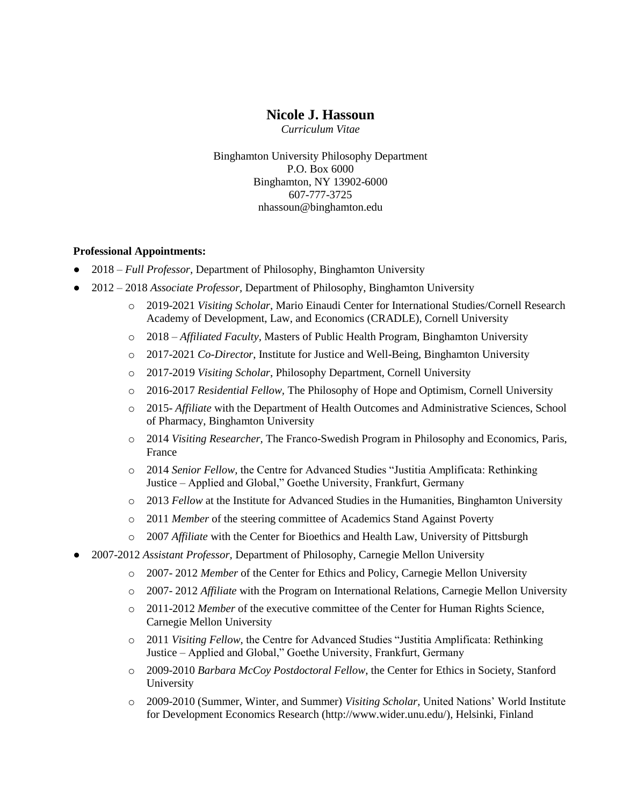# **Nicole J. Hassoun**

*Curriculum Vitae*

Binghamton University Philosophy Department P.O. Box 6000 Binghamton, NY 13902-6000 607-777-3725 nhassoun@binghamton.edu

#### **Professional Appointments:**

- 2018 *Full Professor,* Department of Philosophy, Binghamton University
- 2012 2018 *Associate Professor,* Department of Philosophy, Binghamton University
	- o 2019-2021 *Visiting Scholar*, Mario Einaudi Center for International Studies/Cornell Research Academy of Development, Law, and Economics (CRADLE), Cornell University
	- o 2018 *Affiliated Faculty,* Masters of Public Health Program, Binghamton University
	- o 2017-2021 *Co-Director*, Institute for Justice and Well-Being, Binghamton University
	- o 2017-2019 *Visiting Scholar*, Philosophy Department, Cornell University
	- o 2016-2017 *Residential Fellow,* The Philosophy of Hope and Optimism, Cornell University
	- o 2015- *Affiliate* with the Department of Health Outcomes and Administrative Sciences, School of Pharmacy, Binghamton University
	- o 2014 *Visiting Researcher,* The Franco-Swedish Program in Philosophy and Economics, Paris, France
	- o 2014 *Senior Fellow,* the Centre for Advanced Studies "Justitia Amplificata: Rethinking Justice – Applied and Global," Goethe University, Frankfurt, Germany
	- o 2013 *Fellow* at the Institute for Advanced Studies in the Humanities, Binghamton University
	- o 2011 *Member* of the steering committee of Academics Stand Against Poverty
	- o 2007 *Affiliate* with the Center for Bioethics and Health Law, University of Pittsburgh
- 2007-2012 *Assistant Professor,* Department of Philosophy, Carnegie Mellon University
	- o 2007- 2012 *Member* of the Center for Ethics and Policy, Carnegie Mellon University
	- o 2007- 2012 *Affiliate* with the Program on International Relations, Carnegie Mellon University
	- o 2011-2012 *Member* of the executive committee of the Center for Human Rights Science, Carnegie Mellon University
	- o 2011 *Visiting Fellow,* the Centre for Advanced Studies "Justitia Amplificata: Rethinking Justice – Applied and Global," Goethe University, Frankfurt, Germany
	- o 2009-2010 *Barbara McCoy Postdoctoral Fellow*, the Center for Ethics in Society, Stanford University
	- o 2009-2010 (Summer, Winter, and Summer) *Visiting Scholar,* United Nations' World Institute for Development Economics Research [\(http://www.wider.unu.edu/\)](http://www.wider.unu.edu/), Helsinki, Finland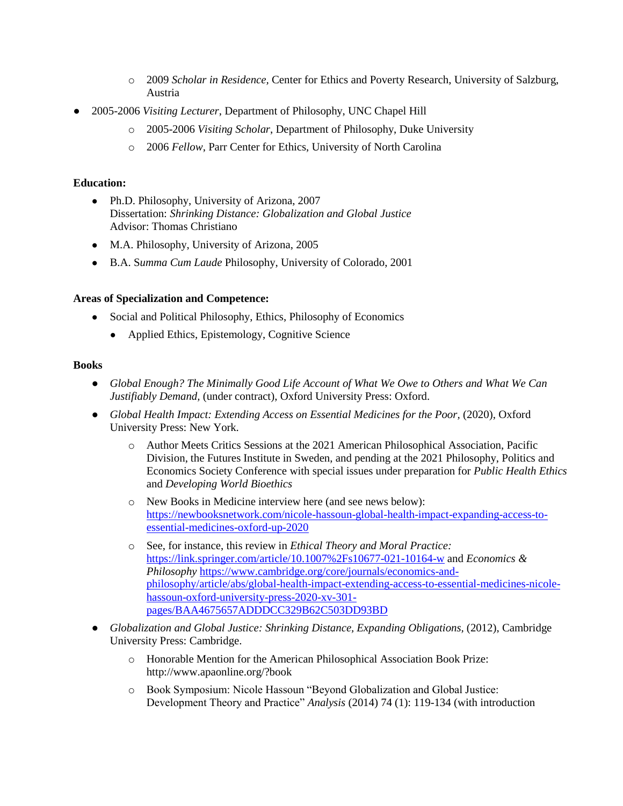- o 2009 *Scholar in Residence,* Center for Ethics and Poverty Research, University of Salzburg, Austria
- 2005-2006 *Visiting Lecturer*, Department of Philosophy, UNC Chapel Hill
	- o 2005-2006 *Visiting Scholar*, Department of Philosophy, Duke University
	- o 2006 *Fellow*, Parr Center for Ethics, University of North Carolina

### **Education:**

- Ph.D. Philosophy, University of Arizona, 2007 Dissertation: *Shrinking Distance: Globalization and Global Justice*  Advisor: Thomas Christiano
- M.A. Philosophy, University of Arizona, 2005
- B.A. S*umma Cum Laude* Philosophy, University of Colorado, 2001

### **Areas of Specialization and Competence:**

- Social and Political Philosophy, Ethics, Philosophy of Economics
	- Applied Ethics, Epistemology, Cognitive Science

### **Books**

- *Global Enough? The Minimally Good Life Account of What We Owe to Others and What We Can Justifiably Demand,* (under contract), Oxford University Press: Oxford.
- *Global Health Impact: Extending Access on Essential Medicines for the Poor, (2020), Oxford* University Press: New York.
	- o Author Meets Critics Sessions at the 2021 American Philosophical Association, Pacific Division, the Futures Institute in Sweden, and pending at the 2021 Philosophy, Politics and Economics Society Conference with special issues under preparation for *Public Health Ethics*  and *Developing World Bioethics*
	- o New Books in Medicine interview here (and see news below): [https://newbooksnetwork.com/nicole-hassoun-global-health-impact-expanding-access-to](https://newbooksnetwork.com/nicole-hassoun-global-health-impact-expanding-access-to-essential-medicines-oxford-up-2020)[essential-medicines-oxford-up-2020](https://newbooksnetwork.com/nicole-hassoun-global-health-impact-expanding-access-to-essential-medicines-oxford-up-2020)
	- o See, for instance, this review in *Ethical Theory and Moral Practice:*  <https://link.springer.com/article/10.1007%2Fs10677-021-10164-w> and *Economics & Philosophy* [https://www.cambridge.org/core/journals/economics-and](https://www.cambridge.org/core/journals/economics-and-philosophy/article/abs/global-health-impact-extending-access-to-essential-medicines-nicole-hassoun-oxford-university-press-2020-xv-301-pages/BAA4675657ADDDCC329B62C503DD93BD)[philosophy/article/abs/global-health-impact-extending-access-to-essential-medicines-nicole](https://www.cambridge.org/core/journals/economics-and-philosophy/article/abs/global-health-impact-extending-access-to-essential-medicines-nicole-hassoun-oxford-university-press-2020-xv-301-pages/BAA4675657ADDDCC329B62C503DD93BD)[hassoun-oxford-university-press-2020-xv-301](https://www.cambridge.org/core/journals/economics-and-philosophy/article/abs/global-health-impact-extending-access-to-essential-medicines-nicole-hassoun-oxford-university-press-2020-xv-301-pages/BAA4675657ADDDCC329B62C503DD93BD) [pages/BAA4675657ADDDCC329B62C503DD93BD](https://www.cambridge.org/core/journals/economics-and-philosophy/article/abs/global-health-impact-extending-access-to-essential-medicines-nicole-hassoun-oxford-university-press-2020-xv-301-pages/BAA4675657ADDDCC329B62C503DD93BD)
- *Globalization and Global Justice: Shrinking Distance, Expanding Obligations, (2012), Cambridge* University Press: Cambridge.
	- o Honorable Mention for the American Philosophical Association Book Prize: <http://www.apaonline.org/?book>
	- o Book Symposium: Nicole Hassoun "Beyond Globalization and Global Justice: Development Theory and Practice" *Analysis* (2014) 74 (1): 119-134 (with introduction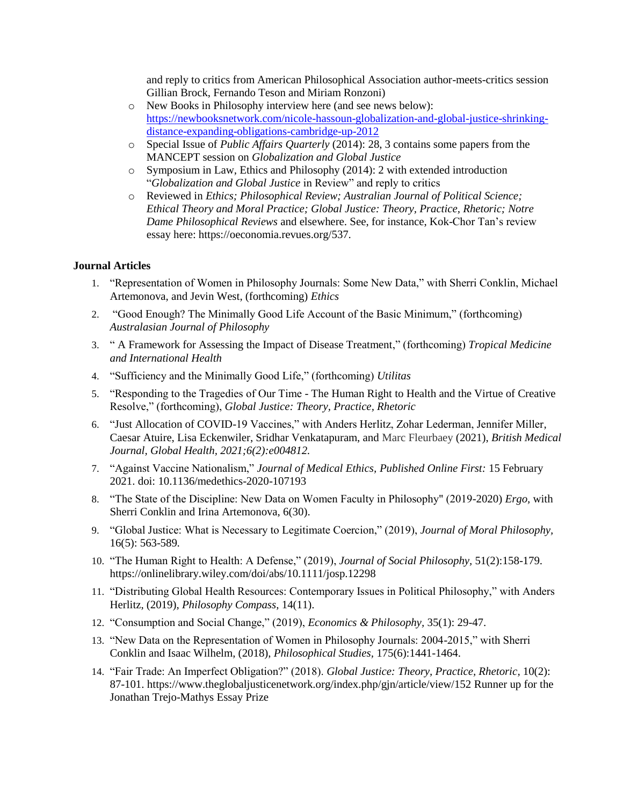and reply to critics from American Philosophical Association author-meets-critics session Gillian Brock, Fernando Teson and Miriam Ronzoni)

- o New Books in Philosophy interview here (and see news below): [https://newbooksnetwork.com/nicole-hassoun-globalization-and-global-justice-shrinking](https://newbooksnetwork.com/nicole-hassoun-globalization-and-global-justice-shrinking-distance-expanding-obligations-cambridge-up-2012)[distance-expanding-obligations-cambridge-up-2012](https://newbooksnetwork.com/nicole-hassoun-globalization-and-global-justice-shrinking-distance-expanding-obligations-cambridge-up-2012)
- o Special Issue of *Public Affairs Quarterly* (2014): 28, 3 contains some papers from the MANCEPT session on *Globalization and Global Justice*
- o Symposium in Law, Ethics and Philosophy (2014): 2 with extended introduction "*Globalization and Global Justice* in Review" and reply to critics
- o Reviewed in *Ethics; Philosophical Review; Australian Journal of Political Science; Ethical Theory and Moral Practice; Global Justice: Theory, Practice, Rhetoric; Notre Dame Philosophical Reviews* and elsewhere. See, for instance, Kok-Chor Tan's review essay here: https://oeconomia.revues.org/537.

#### **Journal Articles**

- 1. "Representation of Women in Philosophy Journals: Some New Data," with Sherri Conklin, Michael Artemonova, and Jevin West, (forthcoming) *Ethics*
- 2. "Good Enough? The Minimally Good Life Account of the Basic Minimum," (forthcoming) *Australasian Journal of Philosophy*
- 3. " A Framework for Assessing the Impact of Disease Treatment," (forthcoming) *Tropical Medicine and International Health*
- 4. "Sufficiency and the Minimally Good Life," (forthcoming) *Utilitas*
- 5. "Responding to the Tragedies of Our Time The Human Right to Health and the Virtue of Creative Resolve," (forthcoming), *Global Justice: Theory, Practice, Rhetoric*
- 6. "Just Allocation of COVID-19 Vaccines," with Anders Herlitz, Zohar Lederman, Jennifer Miller, Caesar Atuire, Lisa Eckenwiler, Sridhar Venkatapuram, and Marc Fleurbaey (2021), *British Medical Journal, Global Health, 2021;6(2):e004812.*
- 7. "Against Vaccine Nationalism," *Journal of Medical Ethics, Published Online First:* 15 February 2021. doi: 10.1136/medethics-2020-107193
- 8. "The State of the Discipline: New Data on Women Faculty in Philosophy" (2019-2020) *Ergo,* with Sherri Conklin and Irina Artemonova, 6(30).
- 9. "Global Justice: What is Necessary to Legitimate Coercion," (2019), *Journal of Moral Philosophy,*  16(5): 563-589*.*
- 10. "The Human Right to Health: A Defense," (2019), *Journal of Social Philosophy,* 51(2):158-179. https://onlinelibrary.wiley.com/doi/abs/10.1111/josp.12298
- 11. "Distributing Global Health Resources: Contemporary Issues in Political Philosophy," with Anders Herlitz, (2019), *Philosophy Compass*, 14(11).
- 12. "Consumption and Social Change," (2019), *Economics & Philosophy,* 35(1): 29-47.
- 13. "New Data on the Representation of Women in Philosophy Journals: 2004-2015," with Sherri Conklin and Isaac Wilhelm, (2018), *Philosophical Studies,* 175(6):1441-1464.
- 14. "Fair Trade: An Imperfect Obligation?" (2018). *Global Justice: Theory, Practice, Rhetoric,* 10(2): 87-101. https://www.theglobaljusticenetwork.org/index.php/gjn/article/view/152 Runner up for the Jonathan Trejo-Mathys Essay Prize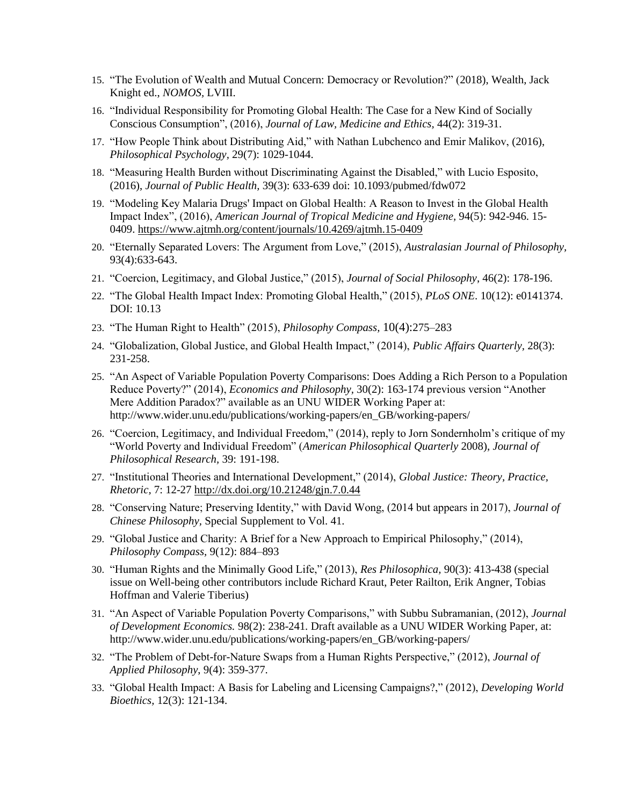- 15. "The Evolution of Wealth and Mutual Concern: Democracy or Revolution?" (2018), Wealth, Jack Knight ed., *NOMOS,* LVIII.
- 16. "Individual Responsibility for Promoting Global Health: The Case for a New Kind of Socially Conscious Consumption", (2016), *Journal of Law, Medicine and Ethics,* 44(2): 319-31.
- 17. "How People Think about Distributing Aid," with Nathan Lubchenco and Emir Malikov, (2016), *Philosophical Psychology,* 29(7): 1029-1044.
- 18. "Measuring Health Burden without Discriminating Against the Disabled," with Lucio Esposito, (2016), *Journal of Public Health,* 39(3): 633-639 doi: 10.1093/pubmed/fdw072
- 19. "Modeling Key Malaria Drugs' Impact on Global Health: A Reason to Invest in the Global Health Impact Index", (2016), *American Journal of Tropical Medicine and Hygiene,* 94(5): 942-946. 15- 0409.<https://www.ajtmh.org/content/journals/10.4269/ajtmh.15-0409>
- 20. "Eternally Separated Lovers: The Argument from Love," (2015), *Australasian Journal of Philosophy,*  93(4):633-643.
- 21. "Coercion, Legitimacy, and Global Justice," (2015), *Journal of Social Philosophy*, 46(2): 178-196.
- 22. "The Global Health Impact Index: Promoting Global Health," (2015), *PLoS ONE*. 10(12): e0141374. DOI: 10.13
- 23. "The Human Right to Health" (2015), *Philosophy Compass,* 10(4):275–283
- 24. "Globalization, Global Justice, and Global Health Impact," (2014), *Public Affairs Quarterly,* 28(3): 231-258.
- 25. "An Aspect of Variable Population Poverty Comparisons: Does Adding a Rich Person to a Population Reduce Poverty?" (2014), *Economics and Philosophy,* 30(2): 163-174 previous version "Another Mere Addition Paradox?" available as an UNU WIDER Working Paper at: [http://www.wider.unu.edu/publications/working-papers/en\\_GB/working-papers/](http://www.wider.unu.edu/publications/working-papers/en_GB/working-papers/)
- 26. "Coercion, Legitimacy, and Individual Freedom," (2014), reply to Jorn Sondernholm's critique of my "World Poverty and Individual Freedom" (*American Philosophical Quarterly* 2008), *Journal of Philosophical Research,* 39: 191-198.
- 27. "Institutional Theories and International Development," (2014), *Global Justice: Theory, Practice, Rhetoric,* 7[: 12-27](http://www.theglobaljusticenetwork.org/index.php/gjn/article/view/44/50) <http://dx.doi.org/10.21248/gjn.7.0.44>
- 28. "Conserving Nature; Preserving Identity," with David Wong, (2014 but appears in 2017), *Journal of Chinese Philosophy,* Special Supplement to Vol. 41.
- 29. "Global Justice and Charity: A Brief for a New Approach to Empirical Philosophy," (2014), *Philosophy Compass,* 9(12): 884–893
- 30. "Human Rights and the Minimally Good Life," (2013), *Res Philosophica,* 90(3): 413-438 (special issue on Well-being other contributors include Richard Kraut, Peter Railton, Erik Angner, Tobias Hoffman and Valerie Tiberius)
- 31. "An Aspect of Variable Population Poverty Comparisons," with Subbu Subramanian, (2012), *Journal of Development Economics.* 98(2): 238-241*.* Draft available as a UNU WIDER Working Paper, at: [http://www.wider.unu.edu/publications/working-papers/en\\_GB/working-papers/](http://www.wider.unu.edu/publications/working-papers/en_GB/working-papers/)
- 32. "The Problem of Debt-for-Nature Swaps from a Human Rights Perspective," (2012), *Journal of Applied Philosophy*, 9(4): 359-377.
- 33. "Global Health Impact: A Basis for Labeling and Licensing Campaigns?," (2012), *Developing World Bioethics,* [12\(](about:blank)3): 121-134.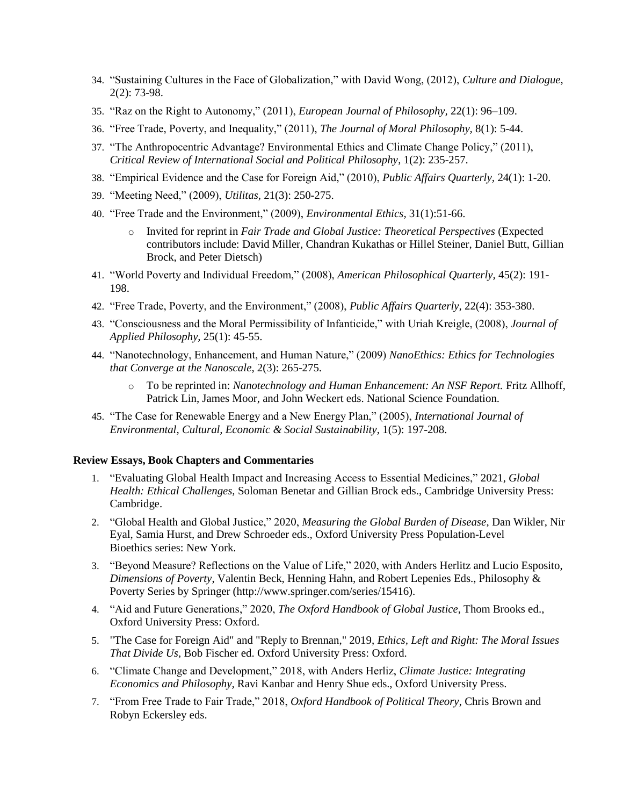- 34. "Sustaining Cultures in the Face of Globalization," with David Wong, (2012), *Culture and Dialogue,*  2(2): 73-98.
- 35. "Raz on the Right to Autonomy," (2011), *European Journal of Philosophy,* 22(1): 96–109.
- 36. "Free Trade, Poverty, and Inequality," (2011), *The Journal of Moral Philosophy,* 8(1): 5-44.
- 37. "The Anthropocentric Advantage? Environmental Ethics and Climate Change Policy," (2011), *Critical Review of International Social and Political Philosophy*, 1(2): 235-257.
- 38. "Empirical Evidence and the Case for Foreign Aid," (2010), *Public Affairs Quarterly,* 24(1): 1-20.
- 39. "Meeting Need," (2009), *Utilitas,* 21(3): 250-275.
- 40. "Free Trade and the Environment," (2009), *Environmental Ethics,* 31(1):51-66.
	- o Invited for reprint in *Fair Trade and Global Justice: Theoretical Perspectives* (Expected contributors include: David Miller, Chandran Kukathas or Hillel Steiner, Daniel Butt, Gillian Brock, and Peter Dietsch)
- 41. "World Poverty and Individual Freedom," (2008), *American Philosophical Quarterly,* 45(2): 191- 198.
- 42. "Free Trade, Poverty, and the Environment," (2008), *Public Affairs Quarterly,* 22(4): 353-380.
- 43. "Consciousness and the Moral Permissibility of Infanticide," with Uriah Kreigle, (2008), *Journal of Applied Philosophy,* 25(1): 45-55.
- 44. "Nanotechnology, Enhancement, and Human Nature," (2009) *NanoEthics: Ethics for Technologies that Converge at the Nanoscale,* 2(3): 265-275.
	- o To be reprinted in: *Nanotechnology and Human Enhancement: An NSF Report.* Fritz Allhoff, Patrick Lin, James Moor, and John Weckert eds. National Science Foundation.
- 45. "The Case for Renewable Energy and a New Energy Plan," (2005), *International Journal of Environmental, Cultural, Economic & Social Sustainability*, 1(5): 197-208.

#### **Review Essays, Book Chapters and Commentaries**

- 1. "Evaluating Global Health Impact and Increasing Access to Essential Medicines," 2021, *Global Health: Ethical Challenges,* Soloman Benetar and Gillian Brock eds., Cambridge University Press: Cambridge.
- 2. "Global Health and Global Justice," 2020, *Measuring the Global Burden of Disease*, Dan Wikler, Nir Eyal, Samia Hurst, and Drew Schroeder eds., Oxford University Press Population-Level Bioethics series: New York.
- 3. "Beyond Measure? Reflections on the Value of Life," 2020, with Anders Herlitz and Lucio Esposito, *Dimensions of Poverty*, Valentin Beck, Henning Hahn, and Robert Lepenies Eds., Philosophy & Poverty Series by Springer (http://www.springer.com/series/15416).
- 4. "Aid and Future Generations," 2020, *The Oxford Handbook of Global Justice*, Thom Brooks ed., Oxford University Press: Oxford.
- 5. "The Case for Foreign Aid" and "Reply to Brennan," 2019, *Ethics, Left and Right: The Moral Issues That Divide Us,* Bob Fischer ed. Oxford University Press: Oxford.
- 6. "Climate Change and Development," 2018, with Anders Herliz, *Climate Justice: Integrating Economics and Philosophy,* Ravi Kanbar and Henry Shue eds., Oxford University Press.
- 7. "From Free Trade to Fair Trade," 2018, *Oxford Handbook of Political Theory*, Chris Brown and Robyn Eckersley eds.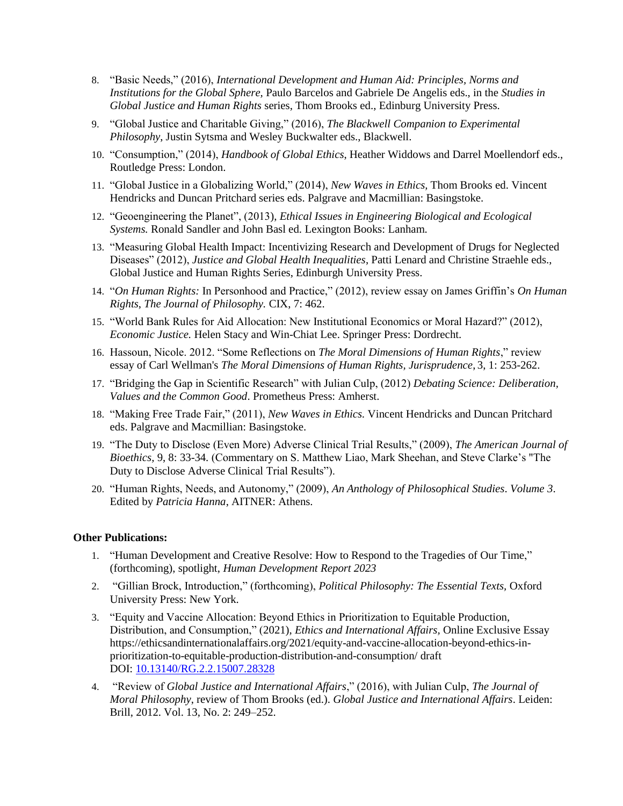- 8. "Basic Needs," (2016), *International Development and Human Aid: Principles, Norms and Institutions for the Global Sphere,* Paulo Barcelos and Gabriele De Angelis eds., in the *Studies in Global Justice and Human Rights* series, Thom Brooks ed., Edinburg University Press.
- 9. "Global Justice and Charitable Giving," (2016), *The Blackwell Companion to Experimental Philosophy*, Justin Sytsma and Wesley Buckwalter eds., Blackwell.
- 10. "Consumption," (2014), *Handbook of Global Ethics*, Heather Widdows and Darrel Moellendorf eds., Routledge Press: London.
- 11. "Global Justice in a Globalizing World," (2014), *New Waves in Ethics,* Thom Brooks ed. Vincent Hendricks and Duncan Pritchard series eds. Palgrave and Macmillian: Basingstoke.
- 12. "Geoengineering the Planet", (2013), *Ethical Issues in Engineering Biological and Ecological Systems.* Ronald Sandler and John Basl ed. Lexington Books: Lanham.
- 13. "Measuring Global Health Impact: Incentivizing Research and Development of Drugs for Neglected Diseases" (2012), *Justice and Global Health Inequalities*, Patti Lenard and Christine Straehle eds., Global Justice and Human Rights Series, Edinburgh University Press.
- 14. "*On Human Rights:* In Personhood and Practice," (2012), review essay on James Griffin's *On Human Rights*, *The Journal of Philosophy.* [CIX,](about:blank) 7: 462.
- 15. "World Bank Rules for Aid Allocation: New Institutional Economics or Moral Hazard?" (2012), *Economic Justice.* Helen Stacy and Win-Chiat Lee. Springer Press: Dordrecht.
- 16. Hassoun, Nicole. 2012. "Some Reflections on *The Moral Dimensions of Human Rights*," review essay of Carl Wellman's *The Moral Dimensions of Human Rights, Jurisprudence*, 3, 1: 253-262.
- 17. "Bridging the Gap in Scientific Research" with Julian Culp, (2012) *Debating Science: Deliberation, Values and the Common Good*. Prometheus Press: Amherst.
- 18. "Making Free Trade Fair," (2011), *New Waves in Ethics.* Vincent Hendricks and Duncan Pritchard eds. Palgrave and Macmillian: Basingstoke.
- 19. "The Duty to Disclose (Even More) Adverse Clinical Trial Results," (2009), *The American Journal of Bioethics,* 9, 8: 33-34*.* (Commentary on S. Matthew Liao, Mark Sheehan, and Steve Clarke's "The Duty to Disclose Adverse Clinical Trial Results").
- 20. "Human Rights, Needs, and Autonomy," (2009), *An Anthology of Philosophical Studies*. *Volume 3*. Edited by *Patricia Hanna*, AITNER: Athens.

#### **Other Publications:**

- 1. "Human Development and Creative Resolve: How to Respond to the Tragedies of Our Time," (forthcoming), spotlight, *Human Development Report 2023*
- 2. "Gillian Brock, Introduction," (forthcoming), *Political Philosophy: The Essential Texts,* Oxford University Press: New York.
- 3. "Equity and Vaccine Allocation: Beyond Ethics in Prioritization to Equitable Production, Distribution, and Consumption," (2021), *Ethics and International Affairs,* Online Exclusive Essay https://ethicsandinternationalaffairs.org/2021/equity-and-vaccine-allocation-beyond-ethics-inprioritization-to-equitable-production-distribution-and-consumption/ draft DOI: [10.13140/RG.2.2.15007.28328](http://dx.doi.org/10.13140/RG.2.2.15007.28328)
- 4. "Review of *Global Justice and International Affairs*," (2016), with Julian Culp, *The Journal of Moral Philosophy*, review of Thom Brooks (ed.). *Global Justice and International Affairs*. Leiden: Brill, 2012. Vol. 13, No. 2: 249–252.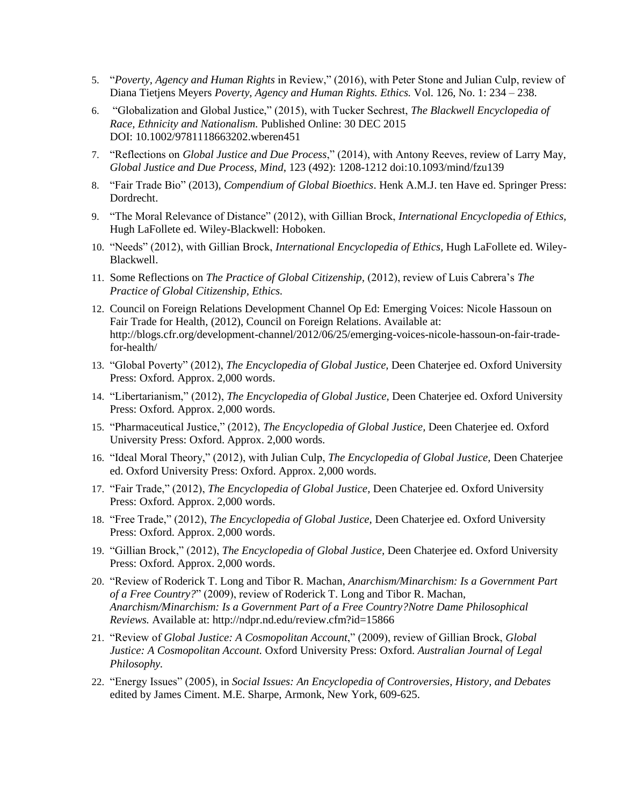- 5. "*Poverty, Agency and Human Rights* in Review," (2016), with Peter Stone and Julian Culp, review of Diana Tietjens Meyers *Poverty, Agency and Human Rights. Ethics.* [Vol. 126, No. 1:](http://www.journals.uchicago.edu/toc/et/126/1) 234 – 238.
- 6. "Globalization and Global Justice," (2015), with Tucker Sechrest, *The Blackwell Encyclopedia of Race, Ethnicity and Nationalism.* Published Online: 30 DEC 2015 DOI: 10.1002/9781118663202.wberen451
- 7. "Reflections on *Global Justice and Due Process*," (2014), with Antony Reeves, review of Larry May, *Global Justice and Due Process, Mind*, 123 (492): 1208-1212 doi:10.1093/mind/fzu139
- 8. "Fair Trade Bio" (2013), *Compendium of Global Bioethics*. Henk A.M.J. ten Have ed. Springer Press: Dordrecht.
- 9. "The Moral Relevance of Distance" (2012), with Gillian Brock, *International Encyclopedia of Ethics,* Hugh LaFollete ed. Wiley-Blackwell: Hoboken.
- 10. "Needs" (2012), with Gillian Brock, *International Encyclopedia of Ethics,* Hugh LaFollete ed. Wiley-Blackwell.
- 11. Some Reflections on *The Practice of Global Citizenship,* (2012), review of Luis Cabrera's *The Practice of Global Citizenship, Ethics.*
- 12. [Council on Foreign Relations Development Channel Op Ed: Emerging Voices: Nicole Hassoun on](http://blogs.cfr.org/development-channel/2012/06/25/emerging-voices-nicole-hassoun-on-fair-trade-for-health/)  [Fair Trade for Health,](http://blogs.cfr.org/development-channel/2012/06/25/emerging-voices-nicole-hassoun-on-fair-trade-for-health/) (2012), Council on Foreign Relations. Available at: [http://blogs.cfr.org/development-channel/2012/06/25/emerging-voices-nicole-hassoun-on-fair-trade](http://blogs.cfr.org/development-channel/2012/06/25/emerging-voices-nicole-hassoun-on-fair-trade-for-health/)[for-health/](http://blogs.cfr.org/development-channel/2012/06/25/emerging-voices-nicole-hassoun-on-fair-trade-for-health/)
- 13. "Global Poverty" (2012), *The Encyclopedia of Global Justice,* Deen Chaterjee ed. Oxford University Press: Oxford. Approx. 2,000 words.
- 14. "Libertarianism," (2012), *The Encyclopedia of Global Justice,* Deen Chaterjee ed. Oxford University Press: Oxford. Approx. 2,000 words.
- 15. "Pharmaceutical Justice," (2012), *The Encyclopedia of Global Justice,* Deen Chaterjee ed. Oxford University Press: Oxford. Approx. 2,000 words.
- 16. "Ideal Moral Theory," (2012), with Julian Culp, *The Encyclopedia of Global Justice,* Deen Chaterjee ed. Oxford University Press: Oxford. Approx. 2,000 words.
- 17. "Fair Trade," (2012), *The Encyclopedia of Global Justice,* Deen Chaterjee ed. Oxford University Press: Oxford. Approx. 2,000 words.
- 18. "Free Trade," (2012), *The Encyclopedia of Global Justice,* Deen Chaterjee ed. Oxford University Press: Oxford. Approx. 2,000 words.
- 19. "Gillian Brock," (2012), *The Encyclopedia of Global Justice,* Deen Chaterjee ed. Oxford University Press: Oxford. Approx. 2,000 words.
- 20. "Review of [Roderick T. Long and Tibor R. Machan,](http://www.amazon.com/s/ref=rdr_ext_aut?_encoding=UTF8&index=books&field-author=Roderick%20T.%20Long%20and%20Tibor%20R.%20Machan) *[Anarchism/Minarchism: Is a Government Part](http://www.amazon.com/Anarchism-Minarchism-Roderick-T-Long/dp/0754660664/praxeologynet-20)  [of a Free Country?](http://www.amazon.com/Anarchism-Minarchism-Roderick-T-Long/dp/0754660664/praxeologynet-20)*" (2009), review o[f Roderick T. Long and Tibor R. Machan,](http://www.amazon.com/s/ref=rdr_ext_aut?_encoding=UTF8&index=books&field-author=Roderick%20T.%20Long%20and%20Tibor%20R.%20Machan) *[Anarchism/Minarchism: Is a Government Part of a Free Country?N](http://www.amazon.com/Anarchism-Minarchism-Roderick-T-Long/dp/0754660664/praxeologynet-20)otre Dame Philosophical Reviews.* Available at:<http://ndpr.nd.edu/review.cfm?id=15866>
- 21. "Review of *Global Justice: A Cosmopolitan Account*," (2009), review of Gillian Brock, *Global Justice: A Cosmopolitan Account.* Oxford University Press: Oxford. *Australian Journal of Legal Philosophy.*
- 22. "Energy Issues" (2005), in *Social Issues: An Encyclopedia of Controversies, History, and Debates*  edited by James Ciment. M.E. Sharpe, Armonk, New York, 609-625.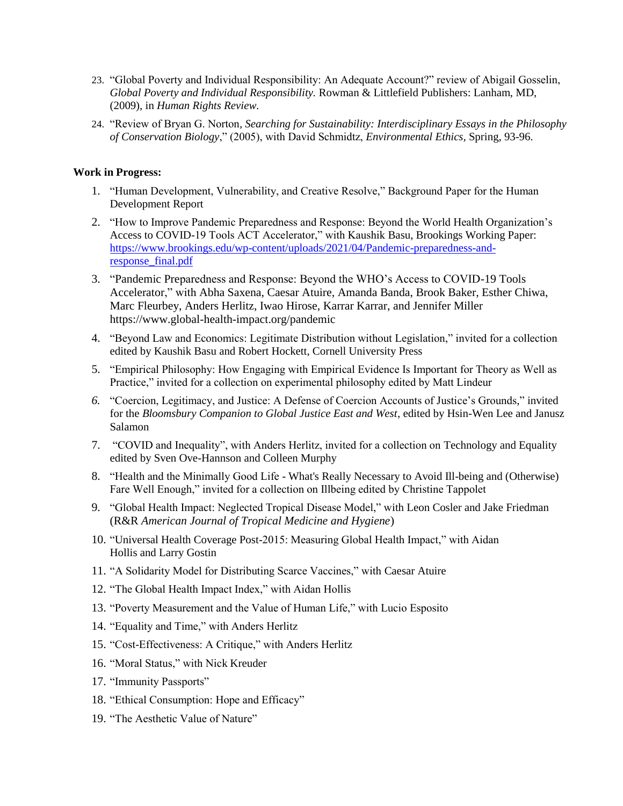- 23. "Global Poverty and Individual Responsibility: An Adequate Account?" review of Abigail Gosselin, *Global Poverty and Individual Responsibility.* Rowman & Littlefield Publishers: Lanham, MD, (2009), in *Human Rights Review.*
- 24. "Review of Bryan G. Norton*, Searching for Sustainability: Interdisciplinary Essays in the Philosophy of Conservation Biology*," (2005), with David Schmidtz, *Environmental Ethics,* Spring, 93-96.

### **Work in Progress:**

- 1. "Human Development, Vulnerability, and Creative Resolve," Background Paper for the Human Development Report
- 2. "How to Improve Pandemic Preparedness and Response: Beyond the World Health Organization's Access to COVID-19 Tools ACT Accelerator," with Kaushik Basu, Brookings Working Paper: [https://www.brookings.edu/wp-content/uploads/2021/04/Pandemic-preparedness-and](https://www.brookings.edu/wp-content/uploads/2021/04/Pandemic-preparedness-and-response_final.pdf)[response\\_final.pdf](https://www.brookings.edu/wp-content/uploads/2021/04/Pandemic-preparedness-and-response_final.pdf)
- 3. "Pandemic Preparedness and Response: Beyond the WHO's Access to COVID-19 Tools Accelerator," with Abha Saxena, Caesar Atuire, Amanda Banda, Brook Baker, Esther Chiwa, Marc Fleurbey, Anders Herlitz, Iwao Hirose, Karrar Karrar, and Jennifer Miller https://www.global-health-impact.org/pandemic
- 4. "Beyond Law and Economics: Legitimate Distribution without Legislation," invited for a collection edited by Kaushik Basu and Robert Hockett, Cornell University Press
- 5. "Empirical Philosophy: How Engaging with Empirical Evidence Is Important for Theory as Well as Practice," invited for a collection on experimental philosophy edited by Matt Lindeur
- *6.* "Coercion, Legitimacy, and Justice: A Defense of Coercion Accounts of Justice's Grounds," invited for the *Bloomsbury Companion to Global Justice East and West,* edited by Hsin-Wen Lee and Janusz Salamon
- 7. "COVID and Inequality", with Anders Herlitz, invited for a collection on Technology and Equality edited by Sven Ove-Hannson and Colleen Murphy
- 8. "Health and the Minimally Good Life What's Really Necessary to Avoid Ill-being and (Otherwise) Fare Well Enough," invited for a collection on Illbeing edited by Christine Tappolet
- 9. "Global Health Impact: Neglected Tropical Disease Model," with Leon Cosler and Jake Friedman (R&R *American Journal of Tropical Medicine and Hygiene*)
- 10. "Universal Health Coverage Post-2015: Measuring Global Health Impact," with Aidan Hollis and Larry Gostin
- 11. "A Solidarity Model for Distributing Scarce Vaccines," with Caesar Atuire
- 12. "The Global Health Impact Index," with Aidan Hollis
- 13. "Poverty Measurement and the Value of Human Life," with Lucio Esposito
- 14. "Equality and Time," with Anders Herlitz
- 15. "Cost-Effectiveness: A Critique," with Anders Herlitz
- 16. "Moral Status," with Nick Kreuder
- 17. "Immunity Passports"
- 18. "Ethical Consumption: Hope and Efficacy"
- 19. "The Aesthetic Value of Nature"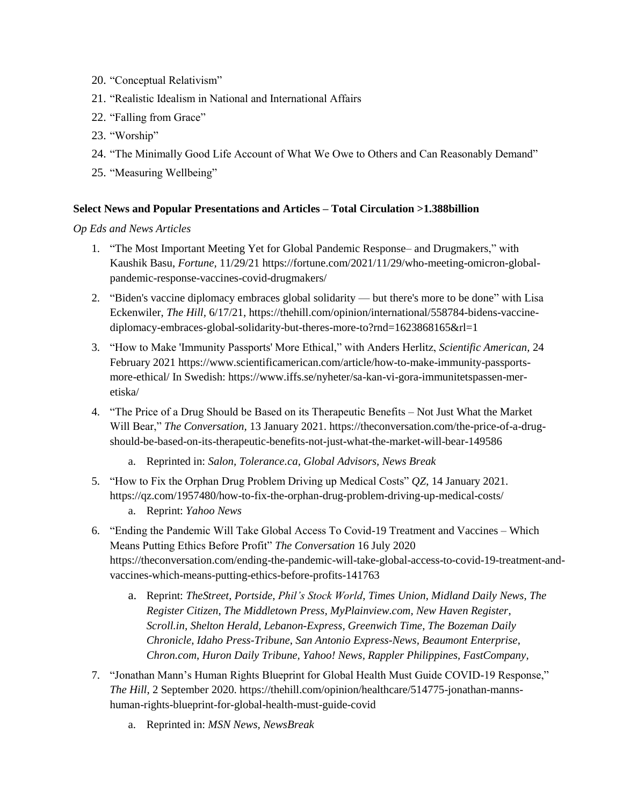- 20. "Conceptual Relativism"
- 21. "Realistic Idealism in National and International Affairs
- 22. "Falling from Grace"
- 23. "Worship"
- 24. "The Minimally Good Life Account of What We Owe to Others and Can Reasonably Demand"
- 25. "Measuring Wellbeing"

### **Select News and Popular Presentations and Articles – Total Circulation >1.388billion**

*Op Eds and News Articles*

- 1. "The Most Important Meeting Yet for Global Pandemic Response– and Drugmakers," with Kaushik Basu, *Fortune,* 11/29/21 https://fortune.com/2021/11/29/who-meeting-omicron-globalpandemic-response-vaccines-covid-drugmakers/
- 2. "Biden's vaccine diplomacy embraces global solidarity but there's more to be done" with Lisa Eckenwiler, *The Hill,* 6/17/21, https://thehill.com/opinion/international/558784-bidens-vaccinediplomacy-embraces-global-solidarity-but-theres-more-to?rnd=1623868165&rl=1
- 3. "How to Make 'Immunity Passports' More Ethical," with Anders Herlitz, *Scientific American,* 24 February 2021 https://www.scientificamerican.com/article/how-to-make-immunity-passportsmore-ethical/ In Swedish: https://www.iffs.se/nyheter/sa-kan-vi-gora-immunitetspassen-meretiska/
- 4. "The Price of a Drug Should be Based on its Therapeutic Benefits Not Just What the Market Will Bear," *The Conversation,* 13 January 2021[. https://theconversation.com/the-price-of-a-drug](https://theconversation.com/the-price-of-a-drug-should-be-based-on-its-therapeutic-benefits-not-just-what-the-market-will-bear-149586)[should-be-based-on-its-therapeutic-benefits-not-just-what-the-market-will-bear-149586](https://theconversation.com/the-price-of-a-drug-should-be-based-on-its-therapeutic-benefits-not-just-what-the-market-will-bear-149586)
	- a. Reprinted in: *Salon, Tolerance.ca, Global Advisors, News Break*
- 5. "How to Fix the Orphan Drug Problem Driving up Medical Costs" *QZ*, 14 January 2021. <https://qz.com/1957480/how-to-fix-the-orphan-drug-problem-driving-up-medical-costs/> a. Reprint: *Yahoo News*
- 6. "Ending the Pandemic Will Take Global Access To Covid-19 Treatment and Vaccines Which Means Putting Ethics Before Profit" *The Conversation* 16 July 2020 [https://theconversation.com/ending-the-pandemic-will-take-global-access-to-covid-19-treatment-and](https://theconversation.com/ending-the-pandemic-will-take-global-access-to-covid-19-treatment-and-vaccines-which-means-putting-ethics-before-profits-141763)[vaccines-which-means-putting-ethics-before-profits-141763](https://theconversation.com/ending-the-pandemic-will-take-global-access-to-covid-19-treatment-and-vaccines-which-means-putting-ethics-before-profits-141763)
	- a. Reprint: *TheStreet*, *Portside*, *Phil's Stock World*, *Times Union*, *Midland Daily News*, *The Register Citizen*, *The Middletown Press, MyPlainview.com, New Haven Register*, *Scroll.in, Shelton Herald, Lebanon-Express, Greenwich Time*, *The Bozeman Daily Chronicle*, *Idaho Press-Tribune*, *San Antonio Express-News, Beaumont Enterprise*, *Chron.com*, *Huron Daily Tribune, Yahoo! News, Rappler Philippines, FastCompany,*
- 7. "Jonathan Mann's Human Rights Blueprint for Global Health Must Guide COVID-19 Response," *The Hill*, 2 September 2020. [https://thehill.com/opinion/healthcare/514775-jonathan-manns](https://thehill.com/opinion/healthcare/514775-jonathan-manns-human-rights-blueprint-for-global-health-must-guide-covid)[human-rights-blueprint-for-global-health-must-guide-covid](https://thehill.com/opinion/healthcare/514775-jonathan-manns-human-rights-blueprint-for-global-health-must-guide-covid)
	- a. Reprinted in: *MSN News, NewsBreak*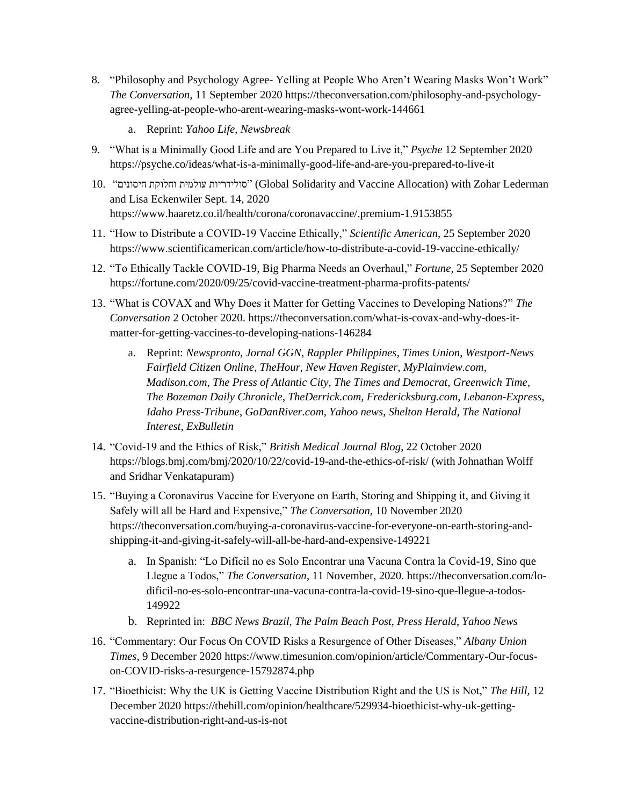- 8. "Philosophy and Psychology Agree- Yelling at People Who Aren't Wearing Masks Won't Work" *The Conversation,* 11 September 2020 [https://theconversation.com/philosophy-and-psychology](https://theconversation.com/philosophy-and-psychology-agree-yelling-at-people-who-arent-wearing-masks-wont-work-144661)[agree-yelling-at-people-who-arent-wearing-masks-wont-work-144661](https://theconversation.com/philosophy-and-psychology-agree-yelling-at-people-who-arent-wearing-masks-wont-work-144661)
	- a. Reprint: *Yahoo Life, Newsbreak*
- 9. "What is a Minimally Good Life and are You Prepared to Live it," *Psyche* 12 September 2020 <https://psyche.co/ideas/what-is-a-minimally-good-life-and-are-you-prepared-to-live-it>
- 10. "חיסונים וחלוקת עולמית סולידריות) "Global Solidarity and Vaccine Allocation) with Zohar Lederman and Lisa Eckenwiler Sept. 14, 2020 https://www.haaretz.co.il/health/corona/coronavaccine/.premium-1.9153855
- 11. "How to Distribute a COVID-19 Vaccine Ethically," *Scientific American,* 25 September 2020 <https://www.scientificamerican.com/article/how-to-distribute-a-covid-19-vaccine-ethically/>
- 12. "To Ethically Tackle COVID-19, Big Pharma Needs an Overhaul," *Fortune,* 25 September 2020 <https://fortune.com/2020/09/25/covid-vaccine-treatment-pharma-profits-patents/>
- 13. "What is COVAX and Why Does it Matter for Getting Vaccines to Developing Nations?" *The Conversation* 2 October 2020. [https://theconversation.com/what-is-covax-and-why-does-it](https://theconversation.com/what-is-covax-and-why-does-it-matter-for-getting-vaccines-to-developing-nations-146284)[matter-for-getting-vaccines-to-developing-nations-146284](https://theconversation.com/what-is-covax-and-why-does-it-matter-for-getting-vaccines-to-developing-nations-146284)
	- a. Reprint: *Newspronto*, *Jornal GGN*, *Rappler Philippines*, *Times Union, Westport-News Fairfield Citizen Online*, *TheHour*, *New Haven Register*, *MyPlainview.com*, *Madison.com, The Press of Atlantic City*, *The Times and Democrat*, *Greenwich Time*, *The Bozeman Daily Chronicle*, *TheDerrick.com*, *Fredericksburg.com*, *Lebanon-Express*, *Idaho Press-Tribune*, *GoDanRiver.com*, *Yahoo news*, *Shelton Herald*, *The National Interest*, *ExBulletin*
- 14. "Covid-19 and the Ethics of Risk," *British Medical Journal Blog*, 22 October 2020 <https://blogs.bmj.com/bmj/2020/10/22/covid-19-and-the-ethics-of-risk/> (with Johnathan Wolff and Sridhar Venkatapuram)
- 15. "Buying a Coronavirus Vaccine for Everyone on Earth, Storing and Shipping it, and Giving it Safely will all be Hard and Expensive," *The Conversation,* 10 November 2020 [https://theconversation.com/buying-a-coronavirus-vaccine-for-everyone-on-earth-storing-and](https://theconversation.com/buying-a-coronavirus-vaccine-for-everyone-on-earth-storing-and-shipping-it-and-giving-it-safely-will-all-be-hard-and-expensive-149221)[shipping-it-and-giving-it-safely-will-all-be-hard-and-expensive-149221](https://theconversation.com/buying-a-coronavirus-vaccine-for-everyone-on-earth-storing-and-shipping-it-and-giving-it-safely-will-all-be-hard-and-expensive-149221)
	- a. In Spanish: "Lo Difícil no es Solo Encontrar una Vacuna Contra la Covid-19, Sino que Llegue a Todos," *The Conversation*, 11 November, 2020. [https://theconversation.com/lo](https://theconversation.com/lo-dificil-no-es-solo-encontrar-una-vacuna-contra-la-covid-19-sino-que-llegue-a-todos-149922)[dificil-no-es-solo-encontrar-una-vacuna-contra-la-covid-19-sino-que-llegue-a-todos-](https://theconversation.com/lo-dificil-no-es-solo-encontrar-una-vacuna-contra-la-covid-19-sino-que-llegue-a-todos-149922)[149922](https://theconversation.com/lo-dificil-no-es-solo-encontrar-una-vacuna-contra-la-covid-19-sino-que-llegue-a-todos-149922)
	- b. Reprinted in: *BBC News Brazil*, *The Palm Beach Post*, *Press Herald*, *Yahoo News*
- 16. "Commentary: Our Focus On COVID Risks a Resurgence of Other Diseases," *Albany Union Times,* 9 December 202[0 https://www.timesunion.com/opinion/article/Commentary-Our-focus](https://www.timesunion.com/opinion/article/Commentary-Our-focus-on-COVID-risks-a-resurgence-15792874.php)[on-COVID-risks-a-resurgence-15792874.php](https://www.timesunion.com/opinion/article/Commentary-Our-focus-on-COVID-risks-a-resurgence-15792874.php)
- 17. "Bioethicist: Why the UK is Getting Vaccine Distribution Right and the US is Not," *The Hill,* 12 December 202[0 https://thehill.com/opinion/healthcare/529934-bioethicist-why-uk-getting](https://thehill.com/opinion/healthcare/529934-bioethicist-why-uk-getting-vaccine-distribution-right-and-us-is-not)[vaccine-distribution-right-and-us-is-not](https://thehill.com/opinion/healthcare/529934-bioethicist-why-uk-getting-vaccine-distribution-right-and-us-is-not)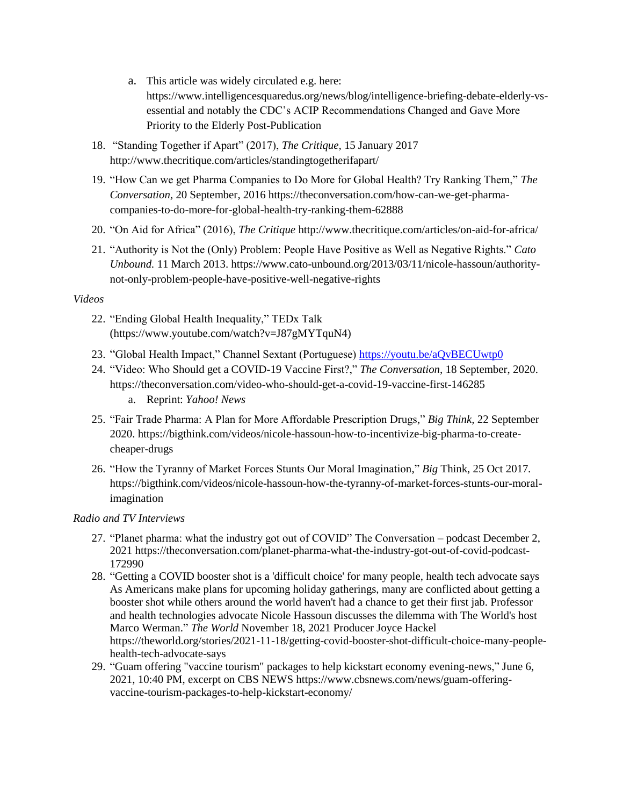- a. This article was widely circulated e.g. here: [https://www.intelligencesquaredus.org/news/blog/intelligence-briefing-debate-elderly-vs](https://www.intelligencesquaredus.org/news/blog/intelligence-briefing-debate-elderly-vs-essential)[essential](https://www.intelligencesquaredus.org/news/blog/intelligence-briefing-debate-elderly-vs-essential) and notably the CDC's ACIP Recommendations Changed and Gave More Priority to the Elderly Post-Publication
- 18. "Standing Together if Apart" (2017), *The Critique,* 15 January 2017 <http://www.thecritique.com/articles/standingtogetherifapart/>
- 19. "How Can we get Pharma Companies to Do More for Global Health? Try Ranking Them," *The Conversation,* 20 September, 2016 [https://theconversation.com/how-can-we-get-pharma](https://theconversation.com/how-can-we-get-pharma-companies-to-do-more-for-global-health-try-ranking-them-62888)[companies-to-do-more-for-global-health-try-ranking-them-62888](https://theconversation.com/how-can-we-get-pharma-companies-to-do-more-for-global-health-try-ranking-them-62888)
- 20. "On Aid for Africa" (2016), *The Critique* <http://www.thecritique.com/articles/on-aid-for-africa/>
- 21. "Authority is Not the (Only) Problem: People Have Positive as Well as Negative Rights." *Cato Unbound.* 11 March 2013. [https://www.cato-unbound.org/2013/03/11/nicole-hassoun/authority](https://www.cato-unbound.org/2013/03/11/nicole-hassoun/authority-not-only-problem-people-have-positive-well-negative-rights)[not-only-problem-people-have-positive-well-negative-rights](https://www.cato-unbound.org/2013/03/11/nicole-hassoun/authority-not-only-problem-people-have-positive-well-negative-rights)

### *Videos*

- 22. "Ending Global Health Inequality," TEDx Talk (https://www.youtube.com/watch?v=J87gMYTquN4)
- 23. "Global Health Impact," Channel Sextant (Portuguese)<https://youtu.be/aQvBECUwtp0>
- 24. "Video: Who Should get a COVID-19 Vaccine First?," *The Conversation*, 18 September, 2020. <https://theconversation.com/video-who-should-get-a-covid-19-vaccine-first-146285> a. Reprint: *Yahoo! News*
- 25. "Fair Trade Pharma: A Plan for More Affordable Prescription Drugs," *Big Think,* 22 September 2020. [https://bigthink.com/videos/nicole-hassoun-how-to-incentivize-big-pharma-to-create](https://bigthink.com/videos/nicole-hassoun-how-to-incentivize-big-pharma-to-create-cheaper-drugs)[cheaper-drugs](https://bigthink.com/videos/nicole-hassoun-how-to-incentivize-big-pharma-to-create-cheaper-drugs)
- 26. "How the Tyranny of Market Forces Stunts Our Moral Imagination," *Big* Think, 25 Oct 2017*.*  [https://bigthink.com/videos/nicole-hassoun-how-the-tyranny-of-market-forces-stunts-our-moral](https://bigthink.com/videos/nicole-hassoun-how-the-tyranny-of-market-forces-stunts-our-moral-imagination)[imagination](https://bigthink.com/videos/nicole-hassoun-how-the-tyranny-of-market-forces-stunts-our-moral-imagination)

## *Radio and TV Interviews*

- 27. "Planet pharma: what the industry got out of COVID" The Conversation podcast December 2, 2021 https://theconversation.com/planet-pharma-what-the-industry-got-out-of-covid-podcast-172990
- 28. "Getting a COVID booster shot is a 'difficult choice' for many people, health tech advocate says As Americans make plans for upcoming holiday gatherings, many are conflicted about getting a booster shot while others around the world haven't had a chance to get their first jab. Professor and health technologies advocate Nicole Hassoun discusses the dilemma with The World's host Marco Werman." *The World* November 18, 2021 Producer Joyce Hackel https://theworld.org/stories/2021-11-18/getting-covid-booster-shot-difficult-choice-many-peoplehealth-tech-advocate-says
- 29. "Guam offering "vaccine tourism" packages to help kickstart economy evening-news," June 6, 2021, 10:40 PM, excerpt on CBS NEWS https://www.cbsnews.com/news/guam-offeringvaccine-tourism-packages-to-help-kickstart-economy/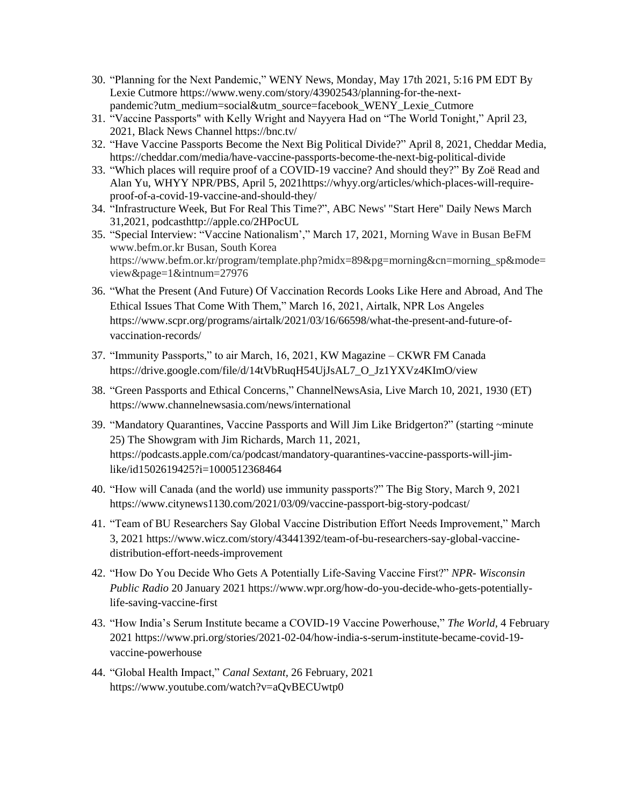- 30. "Planning for the Next Pandemic," WENY News, Monday, May 17th 2021, 5:16 PM EDT By Lexie Cutmore https://www.weny.com/story/43902543/planning-for-the-nextpandemic?utm\_medium=social&utm\_source=facebook\_WENY\_Lexie\_Cutmore
- 31. "Vaccine Passports" with Kelly Wright and Nayyera Had on "The World Tonight," April 23, 2021, Black News Channel https://bnc.tv/
- 32. "Have Vaccine Passports Become the Next Big Political Divide?" April 8, 2021, Cheddar Media, https://cheddar.com/media/have-vaccine-passports-become-the-next-big-political-divide
- 33. "Which places will require proof of a COVID-19 vaccine? And should they?" By Zoë Read and Alan Yu, WHYY NPR/PBS, April 5, 2021https://whyy.org/articles/which-places-will-requireproof-of-a-covid-19-vaccine-and-should-they/
- 34. "Infrastructure Week, But For Real This Time?", ABC News' "Start Here" Daily News March 31,2021, podcasthttp://apple.co/2HPocUL
- 35. "Special Interview: "Vaccine Nationalism'," March 17, 2021, Morning Wave in Busan BeFM www.befm.or.kr Busan, South Korea https://www.befm.or.kr/program/template.php?midx=89&pg=morning&cn=morning\_sp&mode= view&page=1&intnum=27976
- 36. "What the Present (And Future) Of Vaccination Records Looks Like Here and Abroad, And The Ethical Issues That Come With Them," March 16, 2021, Airtalk, NPR Los Angeles https://www.scpr.org/programs/airtalk/2021/03/16/66598/what-the-present-and-future-ofvaccination-records/
- 37. "Immunity Passports," to air March, 16, 2021, KW Magazine CKWR FM Canada https://drive.google.com/file/d/14tVbRuqH54UjJsAL7\_O\_Jz1YXVz4KImO/view
- 38. "Green Passports and Ethical Concerns," ChannelNewsAsia, Live March 10, 2021, 1930 (ET) https://www.channelnewsasia.com/news/international
- 39. "Mandatory Quarantines, Vaccine Passports and Will Jim Like Bridgerton?" (starting ~minute 25) The Showgram with Jim Richards, March 11, 2021, https://podcasts.apple.com/ca/podcast/mandatory-quarantines-vaccine-passports-will-jimlike/id1502619425?i=1000512368464
- 40. "How will Canada (and the world) use immunity passports?" The Big Story, March 9, 2021 https://www.citynews1130.com/2021/03/09/vaccine-passport-big-story-podcast/
- 41. "Team of BU Researchers Say Global Vaccine Distribution Effort Needs Improvement," March 3, 2021 https://www.wicz.com/story/43441392/team-of-bu-researchers-say-global-vaccinedistribution-effort-needs-improvement
- 42. "How Do You Decide Who Gets A Potentially Life-Saving Vaccine First?" *NPR- Wisconsin Public Radio* 20 January 2021 [https://www.wpr.org/how-do-you-decide-who-gets-potentially](https://www.wpr.org/how-do-you-decide-who-gets-potentially-life-saving-vaccine-first)[life-saving-vaccine-first](https://www.wpr.org/how-do-you-decide-who-gets-potentially-life-saving-vaccine-first)
- 43. "How India's Serum Institute became a COVID-19 Vaccine Powerhouse," *The World,* 4 February 202[1 https://www.pri.org/stories/2021-02-04/how-india-s-serum-institute-became-covid-19](https://www.pri.org/stories/2021-02-04/how-india-s-serum-institute-became-covid-19-vaccine-powerhouse) [vaccine-powerhouse](https://www.pri.org/stories/2021-02-04/how-india-s-serum-institute-became-covid-19-vaccine-powerhouse)
- 44. "Global Health Impact," *Canal Sextant,* 26 February, 2021 https://www.youtube.com/watch?v=aQvBECUwtp0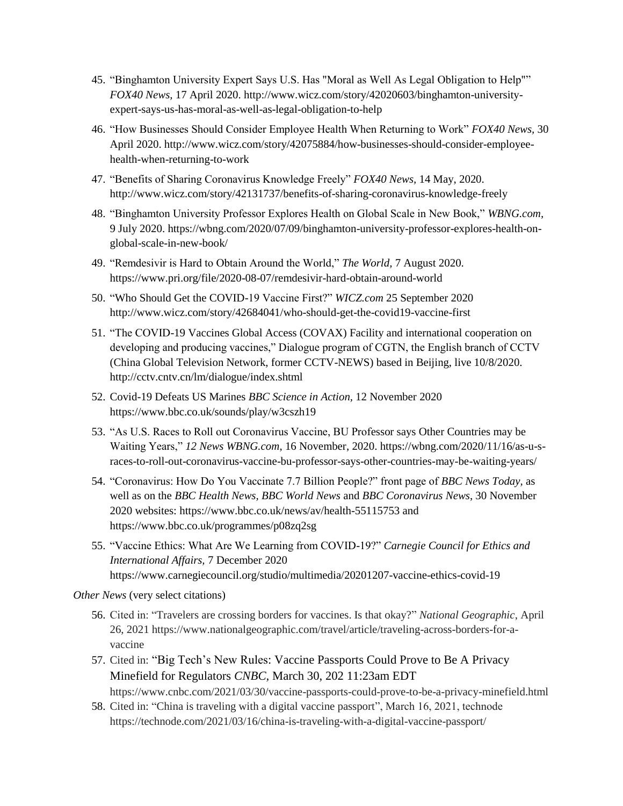- 45. "Binghamton University Expert Says U.S. Has "Moral as Well As Legal Obligation to Help"" *FOX40 News,* 17 April 2020. [http://www.wicz.com/story/42020603/binghamton-university](http://www.wicz.com/story/42020603/binghamton-university-expert-says-us-has-moral-as-well-as-legal-obligation-to-help)[expert-says-us-has-moral-as-well-as-legal-obligation-to-help](http://www.wicz.com/story/42020603/binghamton-university-expert-says-us-has-moral-as-well-as-legal-obligation-to-help)
- 46. "How Businesses Should Consider Employee Health When Returning to Work" *FOX40 News,* 30 April 2020. [http://www.wicz.com/story/42075884/how-businesses-should-consider-employee](http://www.wicz.com/story/42075884/how-businesses-should-consider-employee-health-when-returning-to-work)[health-when-returning-to-work](http://www.wicz.com/story/42075884/how-businesses-should-consider-employee-health-when-returning-to-work)
- 47. "Benefits of Sharing Coronavirus Knowledge Freely" *FOX40 News,* 14 May, 2020. <http://www.wicz.com/story/42131737/benefits-of-sharing-coronavirus-knowledge-freely>
- 48. "Binghamton University Professor Explores Health on Global Scale in New Book," *WBNG.com,*  9 July 2020. [https://wbng.com/2020/07/09/binghamton-university-professor-explores-health-on](https://wbng.com/2020/07/09/binghamton-university-professor-explores-health-on-global-scale-in-new-book/)[global-scale-in-new-book/](https://wbng.com/2020/07/09/binghamton-university-professor-explores-health-on-global-scale-in-new-book/)
- 49. "Remdesivir is Hard to Obtain Around the World," *The World,* 7 August 2020. <https://www.pri.org/file/2020-08-07/remdesivir-hard-obtain-around-world>
- 50. "Who Should Get the COVID-19 Vaccine First?" *WICZ.com* 25 September 2020 <http://www.wicz.com/story/42684041/who-should-get-the-covid19-vaccine-first>
- 51. "The COVID-19 Vaccines Global Access (COVAX) Facility and international cooperation on developing and producing vaccines," Dialogue program of CGTN, the English branch of CCTV (China Global Television Network, former CCTV-NEWS) based in Beijing, live 10/8/2020. <http://cctv.cntv.cn/lm/dialogue/index.shtml>
- 52. Covid-19 Defeats US Marines *BBC Science in Action,* 12 November 2020 <https://www.bbc.co.uk/sounds/play/w3cszh19>
- 53. "As U.S. Races to Roll out Coronavirus Vaccine, BU Professor says Other Countries may be Waiting Years," *12 News WBNG.com*, 16 November, 2020. [https://wbng.com/2020/11/16/as-u-s](https://wbng.com/2020/11/16/as-u-s-races-to-roll-out-coronavirus-vaccine-bu-professor-says-other-countries-may-be-waiting-years/)[races-to-roll-out-coronavirus-vaccine-bu-professor-says-other-countries-may-be-waiting-years/](https://wbng.com/2020/11/16/as-u-s-races-to-roll-out-coronavirus-vaccine-bu-professor-says-other-countries-may-be-waiting-years/)
- 54. "Coronavirus: How Do You Vaccinate 7.7 Billion People?" front page of *BBC News Today,* as well as on the *BBC Health News, BBC World News* and *BBC Coronavirus News*, 30 November 2020 websites: <https://www.bbc.co.uk/news/av/health-55115753> and <https://www.bbc.co.uk/programmes/p08zq2sg>
- 55. "Vaccine Ethics: What Are We Learning from COVID-19?" *Carnegie Council for Ethics and International Affairs,* 7 December 2020 <https://www.carnegiecouncil.org/studio/multimedia/20201207-vaccine-ethics-covid-19>

*Other News* (very select citations)

- 56. Cited in: "Travelers are crossing borders for vaccines. Is that okay?" *National Geographic*, April 26, 2021 https://www.nationalgeographic.com/travel/article/traveling-across-borders-for-avaccine
- 57. Cited in: "Big Tech's New Rules: Vaccine Passports Could Prove to Be A Privacy Minefield for Regulators *CNBC,* March 30, 202 11:23am EDT https://www.cnbc.com/2021/03/30/vaccine-passports-could-prove-to-be-a-privacy-minefield.html
- 58. Cited in: "China is traveling with a digital vaccine passport", March 16, 2021, technode https://technode.com/2021/03/16/china-is-traveling-with-a-digital-vaccine-passport/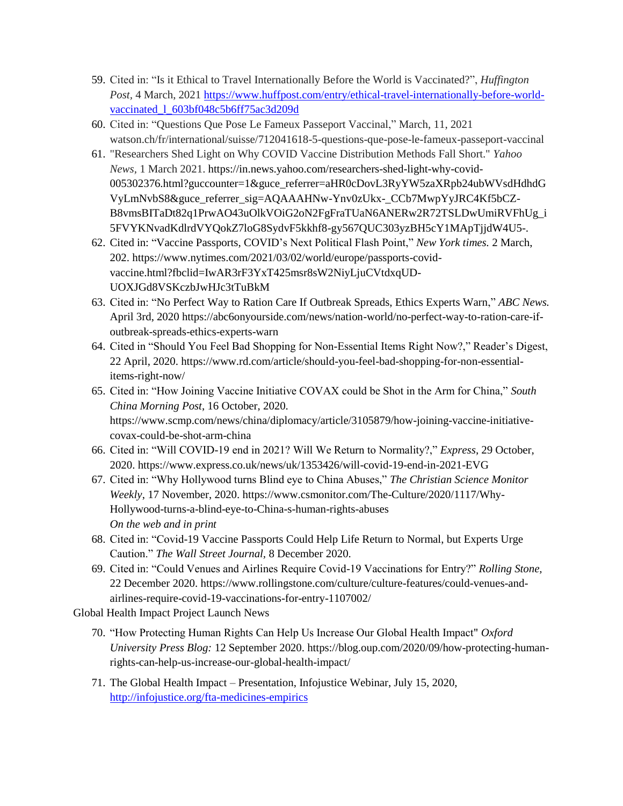- 59. Cited in: "Is it Ethical to Travel Internationally Before the World is Vaccinated?", *Huffington Post,* 4 March, 2021 [https://www.huffpost.com/entry/ethical-travel-internationally-before-world](https://www.huffpost.com/entry/ethical-travel-internationally-before-world-vaccinated_l_603bf048c5b6ff75ac3d209d)[vaccinated\\_l\\_603bf048c5b6ff75ac3d209d](https://www.huffpost.com/entry/ethical-travel-internationally-before-world-vaccinated_l_603bf048c5b6ff75ac3d209d)
- 60. Cited in: "Questions Que Pose Le Fameux Passeport Vaccinal," March, 11, 2021 watson.ch/fr/international/suisse/712041618-5-questions-que-pose-le-fameux-passeport-vaccinal
- 61. "Researchers Shed Light on Why COVID Vaccine Distribution Methods Fall Short." *Yahoo News,* 1 March 2021. https://in.news.yahoo.com/researchers-shed-light-why-covid-005302376.html?guccounter=1&guce\_referrer=aHR0cDovL3RyYW5zaXRpb24ubWVsdHdhdG VyLmNvbS8&guce\_referrer\_sig=AQAAAHNw-Ynv0zUkx-\_CCb7MwpYyJRC4Kf5bCZ-B8vmsBITaDt82q1PrwAO43uOlkVOiG2oN2FgFraTUaN6ANERw2R72TSLDwUmiRVFhUg\_i 5FVYKNvadKdlrdVYQokZ7loG8SydvF5kkhf8-gy567QUC303yzBH5cY1MApTjjdW4U5-.
- 62. Cited in: "Vaccine Passports, COVID's Next Political Flash Point," *New York times.* 2 March, 202. https://www.nytimes.com/2021/03/02/world/europe/passports-covidvaccine.html?fbclid=IwAR3rF3YxT425msr8sW2NiyLjuCVtdxqUD-UOXJGd8VSKczbJwHJc3tTuBkM
- 63. Cited in: "No Perfect Way to Ration Care If Outbreak Spreads, Ethics Experts Warn," *ABC News.* April 3rd, 2020 https://abc6onyourside.com/news/nation-world/no-perfect-way-to-ration-care-ifoutbreak-spreads-ethics-experts-warn
- 64. Cited in "Should You Feel Bad Shopping for Non-Essential Items Right Now?," Reader's Digest, 22 April, 2020. [https://www.rd.com/article/should-you-feel-bad-shopping-for-non-essential](https://www.rd.com/article/should-you-feel-bad-shopping-for-non-essential-items-right-now/)[items-right-now/](https://www.rd.com/article/should-you-feel-bad-shopping-for-non-essential-items-right-now/)
- 65. Cited in: "How Joining Vaccine Initiative COVAX could be Shot in the Arm for China," *South China Morning Post*, 16 October, 2020. [https://www.scmp.com/news/china/diplomacy/article/3105879/how-joining-vaccine-initiative](https://www.scmp.com/news/china/diplomacy/article/3105879/how-joining-vaccine-initiative-covax-could-be-shot-arm-china)[covax-could-be-shot-arm-china](https://www.scmp.com/news/china/diplomacy/article/3105879/how-joining-vaccine-initiative-covax-could-be-shot-arm-china)
- 66. Cited in: "Will COVID-19 end in 2021? Will We Return to Normality?," *Express*, 29 October, 2020.<https://www.express.co.uk/news/uk/1353426/will-covid-19-end-in-2021-EVG>
- 67. Cited in: "Why Hollywood turns Blind eye to China Abuses," *The Christian Science Monitor Weekly*, 17 November, 2020. [https://www.csmonitor.com/The-Culture/2020/1117/Why-](https://www.csmonitor.com/The-Culture/2020/1117/Why-Hollywood-turns-a-blind-eye-to-China-s-human-rights-abuses)[Hollywood-turns-a-blind-eye-to-China-s-human-rights-abuses](https://www.csmonitor.com/The-Culture/2020/1117/Why-Hollywood-turns-a-blind-eye-to-China-s-human-rights-abuses) *On the web and in print*
- 68. Cited in: "Covid-19 Vaccine Passports Could Help Life Return to Normal, but Experts Urge Caution." *The Wall Street Journal,* 8 December 2020.
- 69. Cited in: "Could Venues and Airlines Require Covid-19 Vaccinations for Entry?" *Rolling Stone,*  22 December 2020. [https://www.rollingstone.com/culture/culture-features/could-venues-and](https://www.rollingstone.com/culture/culture-features/could-venues-and-airlines-require-covid-19-vaccinations-for-entry-1107002/)[airlines-require-covid-19-vaccinations-for-entry-1107002/](https://www.rollingstone.com/culture/culture-features/could-venues-and-airlines-require-covid-19-vaccinations-for-entry-1107002/)

Global Health Impact Project Launch News

- 70. "How Protecting Human Rights Can Help Us Increase Our Global Health Impact" *Oxford University Press Blog:* 12 September 2020. [https://blog.oup.com/2020/09/how-protecting-human](https://blog.oup.com/2020/09/how-protecting-human-rights-can-help-us-increase-our-global-health-impact/)[rights-can-help-us-increase-our-global-health-impact/](https://blog.oup.com/2020/09/how-protecting-human-rights-can-help-us-increase-our-global-health-impact/)
- 71. The Global Health Impact Presentation, Infojustice Webinar, July 15, 2020, <http://infojustice.org/fta-medicines-empirics>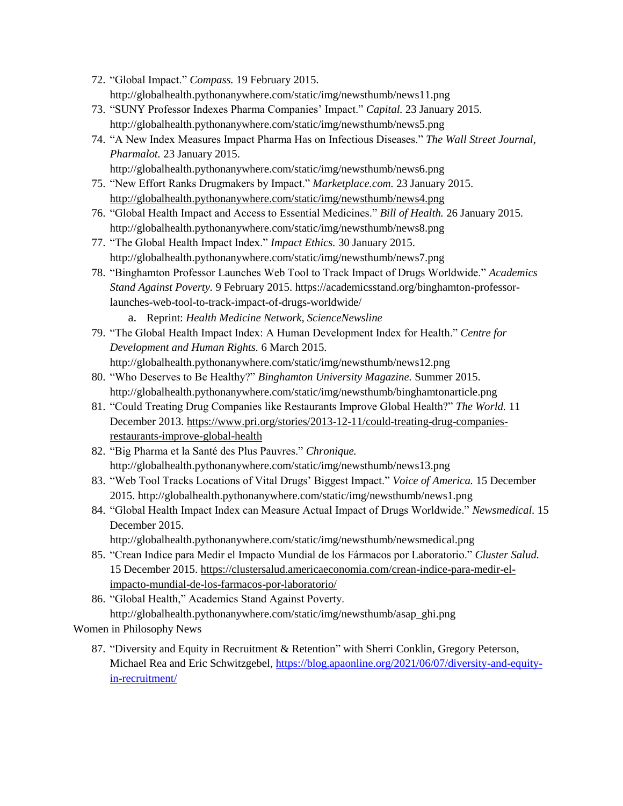- 72. "Global Impact." *Compass.* 19 February 2015. <http://globalhealth.pythonanywhere.com/static/img/newsthumb/news11.png>
- 73. "SUNY Professor Indexes Pharma Companies' Impact." *Capital.* 23 January 2015. <http://globalhealth.pythonanywhere.com/static/img/newsthumb/news5.png>
- 74. "A New Index Measures Impact Pharma Has on Infectious Diseases." *The Wall Street Journal, Pharmalot.* 23 January 2015. <http://globalhealth.pythonanywhere.com/static/img/newsthumb/news6.png>
- 75. "New Effort Ranks Drugmakers by Impact." *Marketplace.com.* 23 January 2015. <http://globalhealth.pythonanywhere.com/static/img/newsthumb/news4.png>
- 76. "Global Health Impact and Access to Essential Medicines." *Bill of Health.* 26 January 2015. <http://globalhealth.pythonanywhere.com/static/img/newsthumb/news8.png>
- 77. "The Global Health Impact Index." *Impact Ethics.* 30 January 2015. <http://globalhealth.pythonanywhere.com/static/img/newsthumb/news7.png>
- 78. "Binghamton Professor Launches Web Tool to Track Impact of Drugs Worldwide." *Academics Stand Against Poverty.* 9 February 2015. https://academicsstand.org/binghamton-professorlaunches-web-tool-to-track-impact-of-drugs-worldwide/
	- a. Reprint: *Health Medicine Network, ScienceNewsline*
- 79. "The Global Health Impact Index: A Human Development Index for Health." *Centre for Development and Human Rights.* 6 March 2015. <http://globalhealth.pythonanywhere.com/static/img/newsthumb/news12.png>
- 80. "Who Deserves to Be Healthy?" *Binghamton University Magazine.* Summer 2015. <http://globalhealth.pythonanywhere.com/static/img/newsthumb/binghamtonarticle.png>
- 81. "Could Treating Drug Companies like Restaurants Improve Global Health?" *The World.* 11 December 2013. [https://www.pri.org/stories/2013-12-11/could-treating-drug-companies](https://www.pri.org/stories/2013-12-11/could-treating-drug-companies-restaurants-improve-global-health)[restaurants-improve-global-health](https://www.pri.org/stories/2013-12-11/could-treating-drug-companies-restaurants-improve-global-health)
- 82. "Big Pharma et la Santé des Plus Pauvres." *Chronique.*  <http://globalhealth.pythonanywhere.com/static/img/newsthumb/news13.png>
- 83. "Web Tool Tracks Locations of Vital Drugs' Biggest Impact." *Voice of America.* 15 December 2015.<http://globalhealth.pythonanywhere.com/static/img/newsthumb/news1.png>
- 84. "Global Health Impact Index can Measure Actual Impact of Drugs Worldwide." *Newsmedical.* 15 December 2015.

<http://globalhealth.pythonanywhere.com/static/img/newsthumb/newsmedical.png>

- 85. "Crean Indice para Medir el Impacto Mundial de los Fármacos por Laboratorio." *Cluster Salud.*  15 December 2015. [https://clustersalud.americaeconomia.com/crean-indice-para-medir-el](https://clustersalud.americaeconomia.com/crean-indice-para-medir-el-impacto-mundial-de-los-farmacos-por-laboratorio/)[impacto-mundial-de-los-farmacos-por-laboratorio/](https://clustersalud.americaeconomia.com/crean-indice-para-medir-el-impacto-mundial-de-los-farmacos-por-laboratorio/)
- 86. "Global Health," Academics Stand Against Poverty. [http://globalhealth.pythonanywhere.com/static/img/newsthumb/asap\\_ghi.png](http://globalhealth.pythonanywhere.com/static/img/newsthumb/asap_ghi.png)

Women in Philosophy News

87. "Diversity and Equity in Recruitment & Retention" with Sherri Conklin, Gregory Peterson, Michael Rea and Eric Schwitzgebel, [https://blog.apaonline.org/2021/06/07/diversity-and-equity](https://blog.apaonline.org/2021/06/07/diversity-and-equity-in-recruitment/)[in-recruitment/](https://blog.apaonline.org/2021/06/07/diversity-and-equity-in-recruitment/)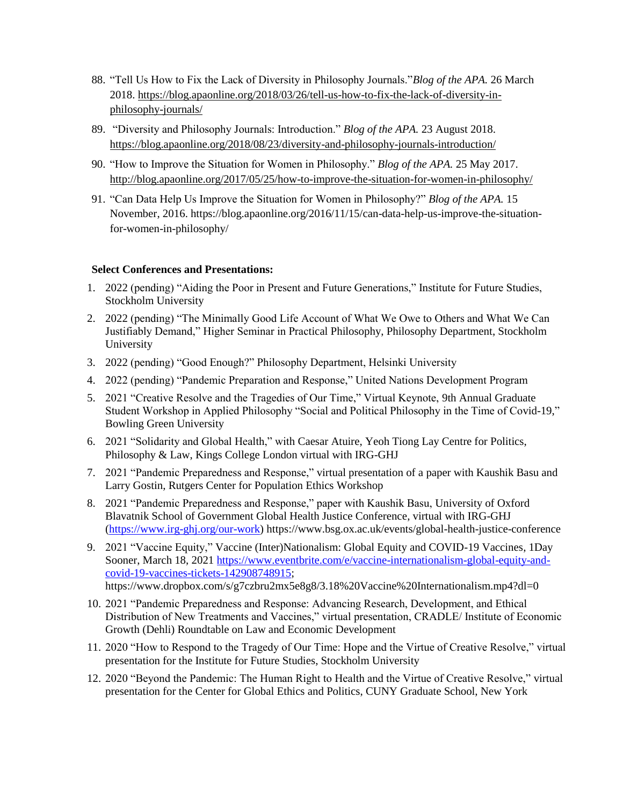- 88. "Tell Us How to Fix the Lack of Diversity in Philosophy Journals."*Blog of the APA.* 26 March 2018. [https://blog.apaonline.org/2018/03/26/tell-us-how-to-fix-the-lack-of-diversity-in](https://blog.apaonline.org/2018/03/26/tell-us-how-to-fix-the-lack-of-diversity-in-philosophy-journals/)[philosophy-journals/](https://blog.apaonline.org/2018/03/26/tell-us-how-to-fix-the-lack-of-diversity-in-philosophy-journals/)
- 89. "Diversity and Philosophy Journals: Introduction." *Blog of the APA.* 23 August 2018. <https://blog.apaonline.org/2018/08/23/diversity-and-philosophy-journals-introduction/>
- 90. "How to Improve the Situation for Women in Philosophy." *Blog of the APA.* 25 May 2017. <http://blog.apaonline.org/2017/05/25/how-to-improve-the-situation-for-women-in-philosophy/>
- 91. "Can Data Help Us Improve the Situation for Women in Philosophy?" *Blog of the APA.* 15 November, 2016. https://blog.apaonline.org/2016/11/15/can-data-help-us-improve-the-situationfor-women-in-philosophy/

### **Select Conferences and Presentations:**

- 1. 2022 (pending) "Aiding the Poor in Present and Future Generations," Institute for Future Studies, Stockholm University
- 2. 2022 (pending) "The Minimally Good Life Account of What We Owe to Others and What We Can Justifiably Demand," Higher Seminar in Practical Philosophy, Philosophy Department, Stockholm University
- 3. 2022 (pending) "Good Enough?" Philosophy Department, Helsinki University
- 4. 2022 (pending) "Pandemic Preparation and Response," United Nations Development Program
- 5. 2021 "Creative Resolve and the Tragedies of Our Time," Virtual Keynote, 9th Annual Graduate Student Workshop in Applied Philosophy "Social and Political Philosophy in the Time of Covid-19," Bowling Green University
- 6. 2021 "Solidarity and Global Health," with Caesar Atuire, Yeoh Tiong Lay Centre for Politics, Philosophy & Law, Kings College London virtual with IRG-GHJ
- 7. 2021 "Pandemic Preparedness and Response," virtual presentation of a paper with Kaushik Basu and Larry Gostin, Rutgers Center for Population Ethics Workshop
- 8. 2021 "Pandemic Preparedness and Response," paper with Kaushik Basu, University of Oxford Blavatnik School of Government Global Health Justice Conference, virtual with IRG-GHJ [\(https://www.irg-ghj.org/our-work\)](https://www.irg-ghj.org/our-work) https://www.bsg.ox.ac.uk/events/global-health-justice-conference
- 9. 2021 "Vaccine Equity," Vaccine (Inter)Nationalism: Global Equity and COVID-19 Vaccines, 1Day Sooner, March 18, 2021 [https://www.eventbrite.com/e/vaccine-internationalism-global-equity-and](https://www.eventbrite.com/e/vaccine-internationalism-global-equity-and-covid-19-vaccines-tickets-142908748915)[covid-19-vaccines-tickets-142908748915;](https://www.eventbrite.com/e/vaccine-internationalism-global-equity-and-covid-19-vaccines-tickets-142908748915) https://www.dropbox.com/s/g7czbru2mx5e8g8/3.18%20Vaccine%20Internationalism.mp4?dl=0
- 10. 2021 "Pandemic Preparedness and Response: Advancing Research, Development, and Ethical Distribution of New Treatments and Vaccines," virtual presentation, CRADLE/ Institute of Economic Growth (Dehli) Roundtable on Law and Economic Development
- 11. 2020 "How to Respond to the Tragedy of Our Time: Hope and the Virtue of Creative Resolve," virtual presentation for the Institute for Future Studies, Stockholm University
- 12. 2020 "Beyond the Pandemic: The Human Right to Health and the Virtue of Creative Resolve," virtual presentation for the Center for Global Ethics and Politics, CUNY Graduate School, New York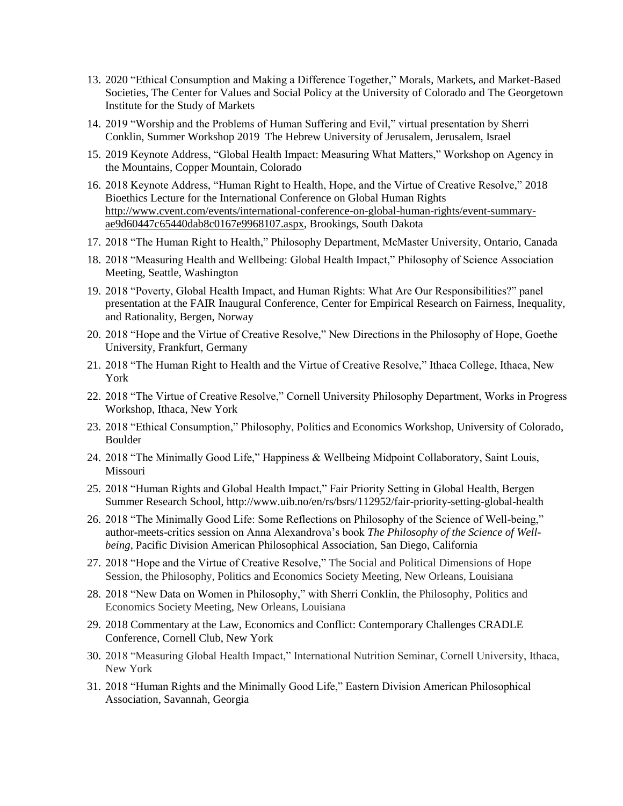- 13. 2020 "Ethical Consumption and Making a Difference Together," Morals, Markets, and Market-Based Societies, The Center for Values and Social Policy at the University of Colorado and The Georgetown Institute for the Study of Markets
- 14. 2019 "Worship and the Problems of Human Suffering and Evil," virtual presentation by Sherri Conklin, Summer Workshop 2019 The Hebrew University of Jerusalem, Jerusalem, Israel
- 15. 2019 Keynote Address, "Global Health Impact: Measuring What Matters," Workshop on Agency in the Mountains, Copper Mountain, Colorado
- 16. 2018 Keynote Address, "Human Right to Health, Hope, and the Virtue of Creative Resolve," 2018 Bioethics Lecture for the International Conference on Global Human Rights [http://www.cvent.com/events/international-conference-on-global-human-rights/event-summary](http://www.cvent.com/events/international-conference-on-global-human-rights/event-summary-ae9d60447c65440dab8c0167e9968107.aspx)[ae9d60447c65440dab8c0167e9968107.aspx,](http://www.cvent.com/events/international-conference-on-global-human-rights/event-summary-ae9d60447c65440dab8c0167e9968107.aspx) Brookings, South Dakota
- 17. 2018 "The Human Right to Health," Philosophy Department, McMaster University, Ontario, Canada
- 18. 2018 "Measuring Health and Wellbeing: Global Health Impact," Philosophy of Science Association Meeting, Seattle, Washington
- 19. 2018 "Poverty, Global Health Impact, and Human Rights: What Are Our Responsibilities?" panel presentation at the FAIR Inaugural Conference, Center for Empirical Research on Fairness, Inequality, and Rationality, Bergen, Norway
- 20. 2018 "Hope and the Virtue of Creative Resolve," New Directions in the Philosophy of Hope, Goethe University, Frankfurt, Germany
- 21. 2018 "The Human Right to Health and the Virtue of Creative Resolve," Ithaca College, Ithaca, New York
- 22. 2018 "The Virtue of Creative Resolve," Cornell University Philosophy Department, Works in Progress Workshop, Ithaca, New York
- 23. 2018 "Ethical Consumption," Philosophy, Politics and Economics Workshop, University of Colorado, Boulder
- 24. 2018 "The Minimally Good Life," Happiness & Wellbeing Midpoint Collaboratory, Saint Louis, Missouri
- 25. 2018 "Human Rights and Global Health Impact," Fair Priority Setting in Global Health, Bergen Summer Research School, http://www.uib.no/en/rs/bsrs/112952/fair-priority-setting-global-health
- 26. 2018 "The Minimally Good Life: Some Reflections on Philosophy of the Science of Well-being," author-meets-critics session on Anna Alexandrova's book *The Philosophy of the Science of Wellbeing*, Pacific Division American Philosophical Association, San Diego, California
- 27. 2018 "Hope and the Virtue of Creative Resolve," The Social and Political Dimensions of Hope Session, the Philosophy, Politics and Economics Society Meeting, New Orleans, Louisiana
- 28. 2018 "New Data on Women in Philosophy," with Sherri Conklin, the Philosophy, Politics and Economics Society Meeting, New Orleans, Louisiana
- 29. 2018 Commentary at the Law, Economics and Conflict: Contemporary Challenges CRADLE Conference, Cornell Club, New York
- 30. 2018 "Measuring Global Health Impact," International Nutrition Seminar, Cornell University, Ithaca, New York
- 31. 2018 "Human Rights and the Minimally Good Life," Eastern Division American Philosophical Association, Savannah, Georgia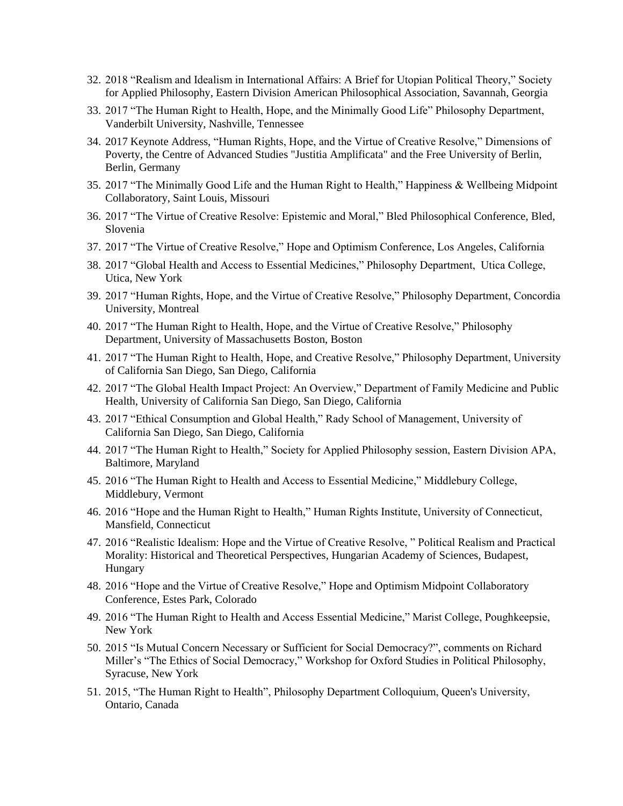- 32. 2018 "Realism and Idealism in International Affairs: A Brief for Utopian Political Theory," Society for Applied Philosophy, Eastern Division American Philosophical Association, Savannah, Georgia
- 33. 2017 "The Human Right to Health, Hope, and the Minimally Good Life" Philosophy Department, Vanderbilt University, Nashville, Tennessee
- 34. 2017 Keynote Address, "Human Rights, Hope, and the Virtue of Creative Resolve," Dimensions of Poverty, the Centre of Advanced Studies "Justitia Amplificata" and the Free University of Berlin, Berlin, Germany
- 35. 2017 "The Minimally Good Life and the Human Right to Health," Happiness & Wellbeing Midpoint Collaboratory, Saint Louis, Missouri
- 36. 2017 "The Virtue of Creative Resolve: Epistemic and Moral," Bled Philosophical Conference, Bled, Slovenia
- 37. 2017 "The Virtue of Creative Resolve," Hope and Optimism Conference, Los Angeles, California
- 38. 2017 "Global Health and Access to Essential Medicines," Philosophy Department, Utica College, Utica, New York
- 39. 2017 "Human Rights, Hope, and the Virtue of Creative Resolve," Philosophy Department, Concordia University, Montreal
- 40. 2017 "The Human Right to Health, Hope, and the Virtue of Creative Resolve," Philosophy Department, University of Massachusetts Boston, Boston
- 41. 2017 "The Human Right to Health, Hope, and Creative Resolve," Philosophy Department, University of California San Diego, San Diego, California
- 42. 2017 "The Global Health Impact Project: An Overview," Department of Family Medicine and Public Health, University of California San Diego, San Diego, California
- 43. 2017 "Ethical Consumption and Global Health," Rady School of Management, University of California San Diego, San Diego, California
- 44. 2017 "The Human Right to Health," Society for Applied Philosophy session, Eastern Division APA, Baltimore, Maryland
- 45. 2016 "The Human Right to Health and Access to Essential Medicine," Middlebury College, Middlebury, Vermont
- 46. 2016 "Hope and the Human Right to Health," Human Rights Institute, University of Connecticut, Mansfield, Connecticut
- 47. 2016 "Realistic Idealism: Hope and the Virtue of Creative Resolve, " Political Realism and Practical Morality: Historical and Theoretical Perspectives, Hungarian Academy of Sciences, Budapest, Hungary
- 48. 2016 "Hope and the Virtue of Creative Resolve," Hope and Optimism Midpoint Collaboratory Conference, Estes Park, Colorado
- 49. 2016 "The Human Right to Health and Access Essential Medicine," Marist College, Poughkeepsie, New York
- 50. 2015 "Is Mutual Concern Necessary or Sufficient for Social Democracy?", comments on Richard Miller's "The Ethics of Social Democracy," Workshop for Oxford Studies in Political Philosophy, Syracuse, New York
- 51. 2015, "The Human Right to Health", Philosophy Department Colloquium, Queen's University, Ontario, Canada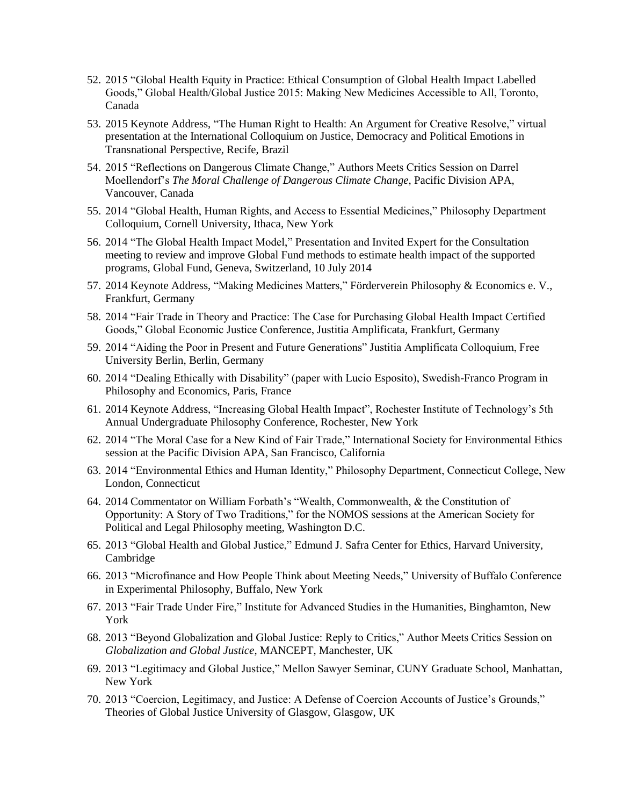- 52. 2015 "Global Health Equity in Practice: Ethical Consumption of Global Health Impact Labelled Goods," Global Health/Global Justice 2015: Making New Medicines Accessible to All, Toronto, Canada
- 53. 2015 Keynote Address, "The Human Right to Health: An Argument for Creative Resolve," virtual presentation at the International Colloquium on Justice, Democracy and Political Emotions in Transnational Perspective, Recife, Brazil
- 54. 2015 "Reflections on Dangerous Climate Change," Authors Meets Critics Session on Darrel Moellendorf's *The Moral Challenge of Dangerous Climate Change*, Pacific Division APA, Vancouver, Canada
- 55. 2014 "Global Health, Human Rights, and Access to Essential Medicines," Philosophy Department Colloquium, Cornell University, Ithaca, New York
- 56. 2014 "The Global Health Impact Model," Presentation and Invited Expert for the Consultation meeting to review and improve Global Fund methods to estimate health impact of the supported programs, Global Fund, Geneva, Switzerland, 10 July 2014
- 57. 2014 Keynote Address, "Making Medicines Matters," [Förderverein Philosophy & Economics e. V.,](http://philosophy-economics.de/) Frankfurt, Germany
- 58. 2014 "Fair Trade in Theory and Practice: The Case for Purchasing Global Health Impact Certified Goods," Global Economic Justice Conference, Justitia Amplificata, Frankfurt, Germany
- 59. 2014 "Aiding the Poor in Present and Future Generations" Justitia Amplificata Colloquium, Free University Berlin, Berlin, Germany
- 60. 2014 "Dealing Ethically with Disability" (paper with Lucio Esposito), Swedish-Franco Program in Philosophy and Economics, Paris, France
- 61. 2014 Keynote Address, "Increasing Global Health Impact", Rochester Institute of Technology's 5th Annual Undergraduate Philosophy Conference, Rochester, New York
- 62. 2014 "The Moral Case for a New Kind of Fair Trade," International Society for Environmental Ethics session at the Pacific Division APA, San Francisco, California
- 63. 2014 "Environmental Ethics and Human Identity," Philosophy Department, Connecticut College, New London, Connecticut
- 64. 2014 Commentator on William Forbath's "Wealth, Commonwealth, & the Constitution of Opportunity: A Story of Two Traditions," for the NOMOS sessions at the American Society for Political and Legal Philosophy meeting, Washington D.C.
- 65. 2013 "Global Health and Global Justice," Edmund J. Safra Center for Ethics, Harvard University, Cambridge
- 66. 2013 "Microfinance and How People Think about Meeting Needs," University of Buffalo Conference in Experimental Philosophy, Buffalo, New York
- 67. 2013 "Fair Trade Under Fire," Institute for Advanced Studies in the Humanities, Binghamton, New York
- 68. 2013 "Beyond Globalization and Global Justice: Reply to Critics," Author Meets Critics Session on *Globalization and Global Justice*, MANCEPT, Manchester, UK
- 69. 2013 "Legitimacy and Global Justice," Mellon Sawyer Seminar, CUNY Graduate School, Manhattan, New York
- 70. 2013 "Coercion, Legitimacy, and Justice: A Defense of Coercion Accounts of Justice's Grounds," Theories of Global Justice University of Glasgow, Glasgow, UK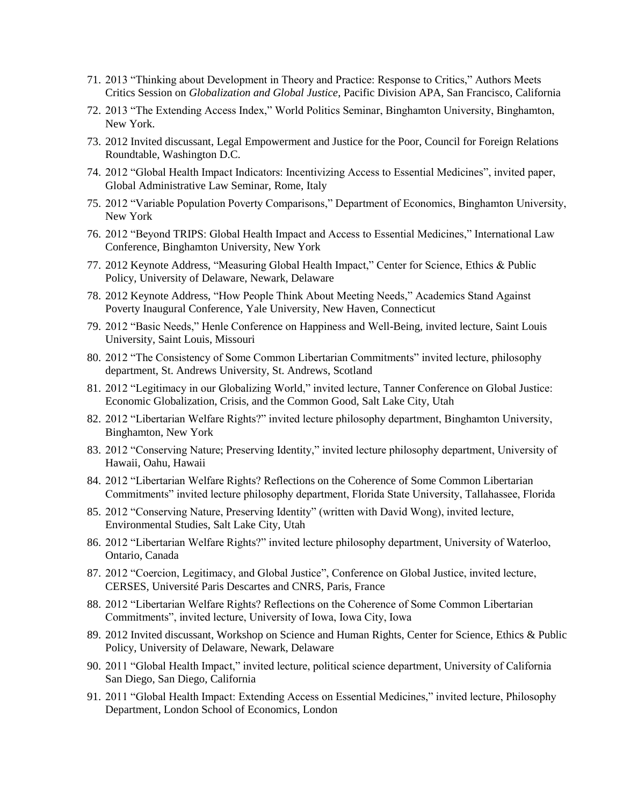- 71. 2013 "Thinking about Development in Theory and Practice: Response to Critics," Authors Meets Critics Session on *Globalization and Global Justice*, Pacific Division APA, San Francisco, California
- 72. 2013 "The Extending Access Index," World Politics Seminar, Binghamton University, Binghamton, New York.
- 73. 2012 Invited discussant, Legal Empowerment and Justice for the Poor, Council for Foreign Relations Roundtable, Washington D.C.
- 74. 2012 "Global Health Impact Indicators: Incentivizing Access to Essential Medicines", invited paper, Global Administrative Law Seminar, Rome, Italy
- 75. 2012 "Variable Population Poverty Comparisons," Department of Economics, Binghamton University, New York
- 76. 2012 "Beyond TRIPS: Global Health Impact and Access to Essential Medicines," International Law Conference, Binghamton University, New York
- 77. 2012 Keynote Address, "Measuring Global Health Impact," Center for Science, Ethics & Public Policy, University of Delaware, Newark, Delaware
- 78. 2012 Keynote Address, "How People Think About Meeting Needs," Academics Stand Against Poverty Inaugural Conference, Yale University, New Haven, Connecticut
- 79. 2012 "Basic Needs," Henle Conference on Happiness and Well-Being, invited lecture, Saint Louis University, Saint Louis, Missouri
- 80. 2012 "The Consistency of Some Common Libertarian Commitments" invited lecture, philosophy department, St. Andrews University, St. Andrews, Scotland
- 81. 2012 "Legitimacy in our Globalizing World," invited lecture, Tanner Conference on Global Justice: Economic Globalization, Crisis, and the Common Good, Salt Lake City, Utah
- 82. 2012 "Libertarian Welfare Rights?" invited lecture philosophy department, Binghamton University, Binghamton, New York
- 83. 2012 "Conserving Nature; Preserving Identity," invited lecture philosophy department, University of Hawaii, Oahu, Hawaii
- 84. 2012 "Libertarian Welfare Rights? Reflections on the Coherence of Some Common Libertarian Commitments" invited lecture philosophy department, Florida State University, Tallahassee, Florida
- 85. 2012 "Conserving Nature, Preserving Identity" (written with David Wong), invited lecture, Environmental Studies, Salt Lake City, Utah
- 86. 2012 "Libertarian Welfare Rights?" invited lecture philosophy department, University of Waterloo, Ontario, Canada
- 87. 2012 "Coercion, Legitimacy, and Global Justice", Conference on Global Justice, invited lecture, CERSES, Université Paris Descartes and CNRS, Paris, France
- 88. 2012 "Libertarian Welfare Rights? Reflections on the Coherence of Some Common Libertarian Commitments", invited lecture, University of Iowa, Iowa City, Iowa
- 89. 2012 Invited discussant, Workshop on Science and Human Rights, Center for Science, Ethics & Public Policy, University of Delaware, Newark, Delaware
- 90. 2011 "Global Health Impact," invited lecture, political science department, University of California San Diego, San Diego, California
- 91. 2011 "Global Health Impact: Extending Access on Essential Medicines," invited lecture, Philosophy Department, London School of Economics, London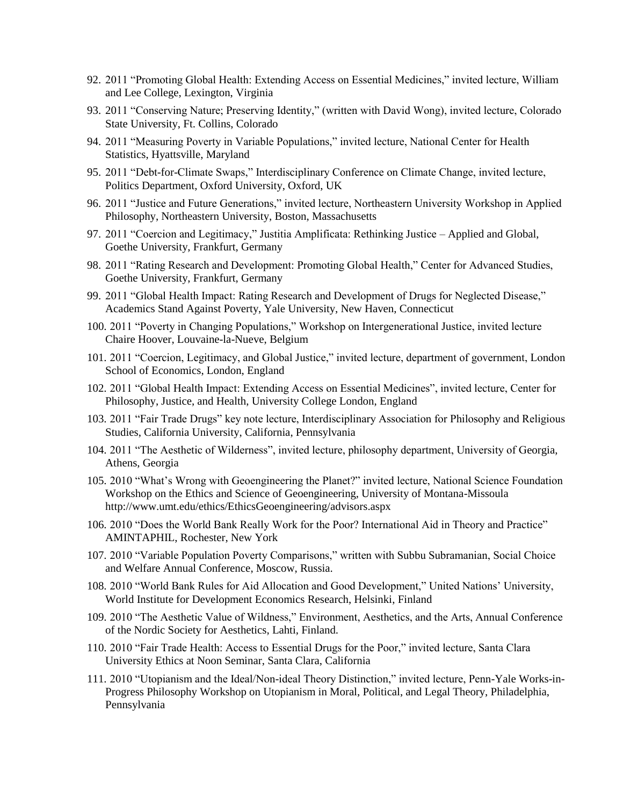- 92. 2011 "Promoting Global Health: Extending Access on Essential Medicines," invited lecture, William and Lee College, Lexington, Virginia
- 93. 2011 "Conserving Nature; Preserving Identity," (written with David Wong), invited lecture, Colorado State University, Ft. Collins, Colorado
- 94. 2011 "Measuring Poverty in Variable Populations," invited lecture, National Center for Health Statistics, Hyattsville, Maryland
- 95. 2011 "Debt-for-Climate Swaps," Interdisciplinary Conference on Climate Change, invited lecture, Politics Department, Oxford University, Oxford, UK
- 96. 2011 "Justice and Future Generations," invited lecture, Northeastern University Workshop in Applied Philosophy, Northeastern University, Boston, Massachusetts
- 97. 2011 "Coercion and Legitimacy," Justitia Amplificata: Rethinking Justice Applied and Global, Goethe University, Frankfurt, Germany
- 98. 2011 "Rating Research and Development: Promoting Global Health," Center for Advanced Studies, Goethe University, Frankfurt, Germany
- 99. 2011 "Global Health Impact: Rating Research and Development of Drugs for Neglected Disease," Academics Stand Against Poverty, Yale University, New Haven, Connecticut
- 100. 2011 "Poverty in Changing Populations," Workshop on Intergenerational Justice, invited lecture Chaire Hoover, Louvaine-la-Nueve, Belgium
- 101. 2011 "Coercion, Legitimacy, and Global Justice," invited lecture, department of government, London School of Economics, London, England
- 102. 2011 "Global Health Impact: Extending Access on Essential Medicines", invited lecture, Center for Philosophy, Justice, and Health, University College London, England
- 103. 2011 "Fair Trade Drugs" key note lecture, Interdisciplinary Association for Philosophy and Religious Studies, California University, California, Pennsylvania
- 104. 2011 "The Aesthetic of Wilderness", invited lecture, philosophy department, University of Georgia, Athens, Georgia
- 105. 2010 "What's Wrong with Geoengineering the Planet?" invited lecture, National Science Foundation Workshop on the Ethics and Science of Geoengineering, University of Montana-Missoula <http://www.umt.edu/ethics/EthicsGeoengineering/advisors.aspx>
- 106. 2010 "Does the World Bank Really Work for the Poor? International Aid in Theory and Practice" AMINTAPHIL, Rochester, New York
- 107. 2010 "Variable Population Poverty Comparisons," written with Subbu Subramanian, Social Choice and Welfare Annual Conference, Moscow, Russia.
- 108. 2010 "World Bank Rules for Aid Allocation and Good Development," United Nations' University, World Institute for Development Economics Research, Helsinki, Finland
- 109. 2010 "The Aesthetic Value of Wildness," Environment, Aesthetics, and the Arts, Annual Conference of the Nordic Society for Aesthetics, Lahti, Finland.
- 110. 2010 "Fair Trade Health: Access to Essential Drugs for the Poor," invited lecture, Santa Clara University Ethics at Noon Seminar, Santa Clara, California
- 111. 2010 "Utopianism and the Ideal/Non-ideal Theory Distinction," invited lecture, Penn-Yale Works-in-Progress Philosophy Workshop on Utopianism in Moral, Political, and Legal Theory, Philadelphia, Pennsylvania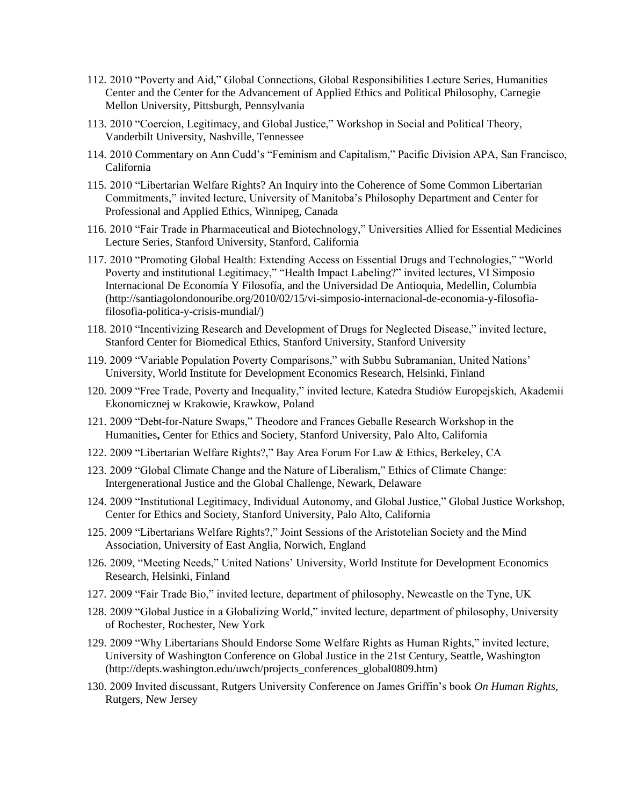- 112. 2010 "Poverty and Aid," Global Connections, Global Responsibilities Lecture Series, Humanities Center and the Center for the Advancement of Applied Ethics and Political Philosophy, Carnegie Mellon University, Pittsburgh, Pennsylvania
- 113. 2010 "Coercion, Legitimacy, and Global Justice," Workshop in Social and Political Theory, Vanderbilt University, Nashville, Tennessee
- 114. 2010 Commentary on Ann Cudd's "Feminism and Capitalism," Pacific Division APA, San Francisco, California
- 115. 2010 "Libertarian Welfare Rights? An Inquiry into the Coherence of Some Common Libertarian Commitments," invited lecture, University of Manitoba's Philosophy Department and Center for Professional and Applied Ethics, Winnipeg, Canada
- 116. 2010 "Fair Trade in Pharmaceutical and Biotechnology," Universities Allied for Essential Medicines Lecture Series, Stanford University, Stanford, California
- 117. 2010 "Promoting Global Health: Extending Access on Essential Drugs and Technologies," "World Poverty and institutional Legitimacy," "Health Impact Labeling?" invited lectures, VI Simposio Internacional De Economía Y Filosofía, and the Universidad De Antioquia, Medellin, Columbia (http://santiagolondonouribe.org/2010/02/15/vi-simposio-internacional-de-economia-y-filosofiafilosofia-politica-y-crisis-mundial/)
- 118. 2010 "Incentivizing Research and Development of Drugs for Neglected Disease," invited lecture, Stanford Center for Biomedical Ethics, Stanford University, Stanford University
- 119. 2009 "Variable Population Poverty Comparisons," with Subbu Subramanian, United Nations' University, World Institute for Development Economics Research, Helsinki, Finland
- 120. 2009 "Free Trade, Poverty and Inequality," invited lecture, Katedra Studiów Europejskich, Akademii Ekonomicznej w Krakowie, Krawkow, Poland
- 121. 2009 "Debt-for-Nature Swaps," Theodore and Frances Geballe Research Workshop in the Humanities**,** Center for Ethics and Society, Stanford University, Palo Alto, California
- 122. 2009 "Libertarian Welfare Rights?," Bay Area Forum For Law & Ethics, Berkeley, CA
- 123. 2009 "Global Climate Change and the Nature of Liberalism," Ethics of Climate Change: Intergenerational Justice and the Global Challenge, Newark, Delaware
- 124. 2009 "Institutional Legitimacy, Individual Autonomy, and Global Justice," Global Justice Workshop, Center for Ethics and Society, Stanford University, Palo Alto, California
- 125. 2009 "Libertarians Welfare Rights?," Joint Sessions of the Aristotelian Society and the Mind Association, University of East Anglia, Norwich, England
- 126. 2009, "Meeting Needs," United Nations' University, World Institute for Development Economics Research, Helsinki, Finland
- 127. 2009 "Fair Trade Bio," invited lecture, department of philosophy, Newcastle on the Tyne, UK
- 128. 2009 "Global Justice in a Globalizing World," invited lecture, department of philosophy, University of Rochester, Rochester, New York
- 129. 2009 "Why Libertarians Should Endorse Some Welfare Rights as Human Rights," invited lecture, University of Washington Conference on Global Justice in the 21st Century, Seattle, Washington (http://depts.washington.edu/uwch/projects\_conferences\_global0809.htm)
- 130. 2009 Invited discussant, Rutgers University Conference on James Griffin's book *On Human Rights,* Rutgers, New Jersey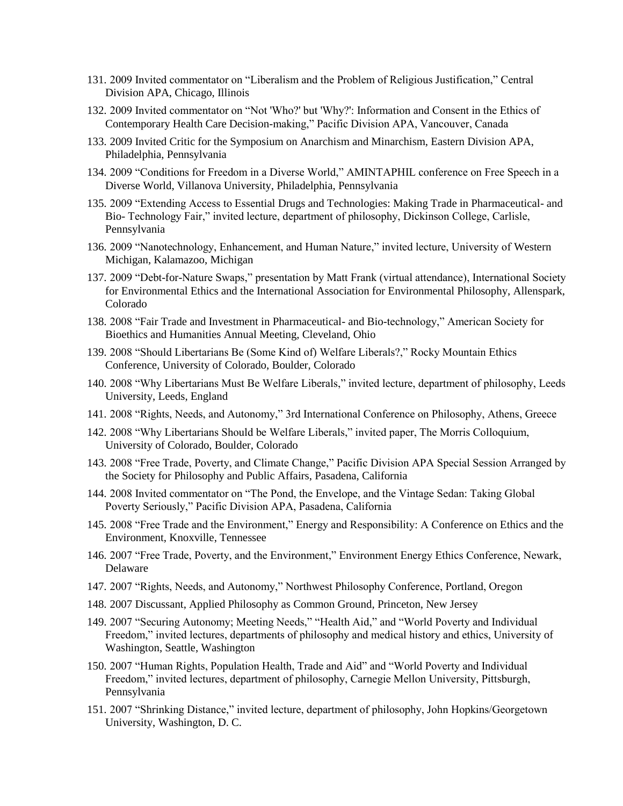- 131. 2009 Invited commentator on "Liberalism and the Problem of Religious Justification," Central Division APA, Chicago, Illinois
- 132. 2009 Invited commentator on "Not 'Who?' but 'Why?': Information and Consent in the Ethics of Contemporary Health Care Decision-making," Pacific Division APA, Vancouver, Canada
- 133. 2009 Invited Critic for the Symposium on Anarchism and Minarchism, Eastern Division APA, Philadelphia, Pennsylvania
- 134. 2009 "Conditions for Freedom in a Diverse World," AMINTAPHIL conference on Free Speech in a Diverse World, Villanova University, Philadelphia, Pennsylvania
- 135. 2009 "Extending Access to Essential Drugs and Technologies: Making Trade in Pharmaceutical- and Bio- Technology Fair," invited lecture, department of philosophy, Dickinson College, Carlisle, Pennsylvania
- 136. 2009 "Nanotechnology, Enhancement, and Human Nature," invited lecture, University of Western Michigan, Kalamazoo, Michigan
- 137. 2009 "Debt-for-Nature Swaps," presentation by Matt Frank (virtual attendance), International Society for Environmental Ethics and the International Association for Environmental Philosophy, Allenspark, Colorado
- 138. 2008 "Fair Trade and Investment in Pharmaceutical- and Bio-technology," American Society for Bioethics and Humanities Annual Meeting, Cleveland, Ohio
- 139. 2008 "Should Libertarians Be (Some Kind of) Welfare Liberals?," Rocky Mountain Ethics Conference, University of Colorado, Boulder, Colorado
- 140. 2008 "Why Libertarians Must Be Welfare Liberals," invited lecture, department of philosophy, Leeds University, Leeds, England
- 141. 2008 "Rights, Needs, and Autonomy," 3rd International Conference on Philosophy, Athens, Greece
- 142. 2008 "Why Libertarians Should be Welfare Liberals," invited paper, The Morris Colloquium, University of Colorado, Boulder, Colorado
- 143. 2008 "Free Trade, Poverty, and Climate Change," Pacific Division APA Special Session Arranged by the Society for Philosophy and Public Affairs, Pasadena, California
- 144. 2008 Invited commentator on "The Pond, the Envelope, and the Vintage Sedan: Taking Global Poverty Seriously," Pacific Division APA, Pasadena, California
- 145. 2008 "Free Trade and the Environment," Energy and Responsibility: A Conference on Ethics and the Environment, Knoxville, Tennessee
- 146. 2007 "Free Trade, Poverty, and the Environment," Environment Energy Ethics Conference, Newark, Delaware
- 147. 2007 "Rights, Needs, and Autonomy," Northwest Philosophy Conference, Portland, Oregon
- 148. 2007 Discussant, Applied Philosophy as Common Ground, Princeton, New Jersey
- 149. 2007 "Securing Autonomy; Meeting Needs," "Health Aid," and "World Poverty and Individual Freedom," invited lectures, departments of philosophy and medical history and ethics, University of Washington, Seattle, Washington
- 150. 2007 "Human Rights, Population Health, Trade and Aid" and "World Poverty and Individual Freedom," invited lectures, department of philosophy, Carnegie Mellon University, Pittsburgh, Pennsylvania
- 151. 2007 "Shrinking Distance," invited lecture, department of philosophy, John Hopkins/Georgetown University, Washington, D. C.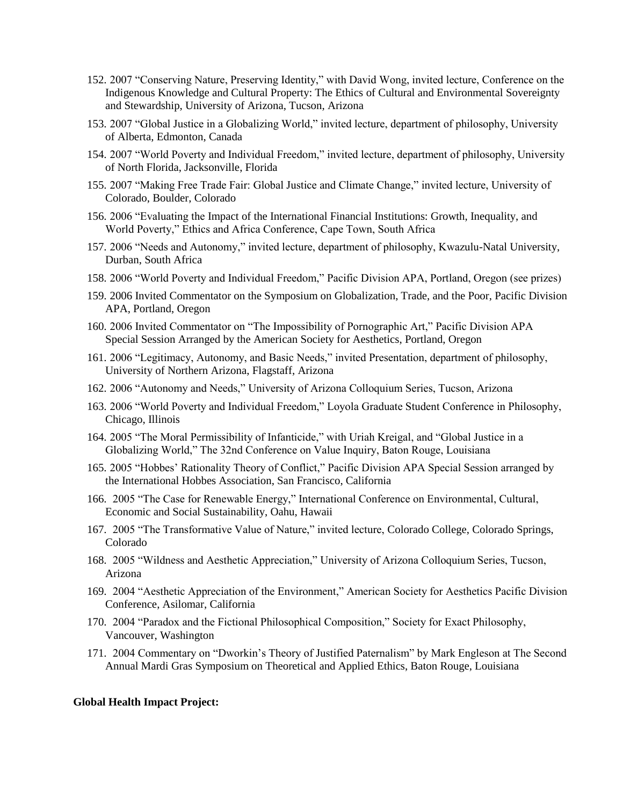- 152. 2007 "Conserving Nature, Preserving Identity," with David Wong, invited lecture, Conference on the Indigenous Knowledge and Cultural Property: The Ethics of Cultural and Environmental Sovereignty and Stewardship, University of Arizona, Tucson, Arizona
- 153. 2007 "Global Justice in a Globalizing World," invited lecture, department of philosophy, University of Alberta, Edmonton, Canada
- 154. 2007 "World Poverty and Individual Freedom," invited lecture, department of philosophy, University of North Florida, Jacksonville, Florida
- 155. 2007 "Making Free Trade Fair: Global Justice and Climate Change," invited lecture, University of Colorado, Boulder, Colorado
- 156. 2006 "Evaluating the Impact of the International Financial Institutions: Growth, Inequality, and World Poverty," Ethics and Africa Conference, Cape Town, South Africa
- 157. 2006 "Needs and Autonomy," invited lecture, department of philosophy, Kwazulu-Natal University, Durban, South Africa
- 158. 2006 "World Poverty and Individual Freedom," Pacific Division APA, Portland, Oregon (see prizes)
- 159. 2006 Invited Commentator on the Symposium on Globalization, Trade, and the Poor, Pacific Division APA, Portland, Oregon
- 160. 2006 Invited Commentator on "The Impossibility of Pornographic Art," Pacific Division APA Special Session Arranged by the American Society for Aesthetics, Portland, Oregon
- 161. 2006 "Legitimacy, Autonomy, and Basic Needs," invited Presentation, department of philosophy, University of Northern Arizona, Flagstaff, Arizona
- 162. 2006 "Autonomy and Needs," University of Arizona Colloquium Series, Tucson, Arizona
- 163. 2006 "World Poverty and Individual Freedom," Loyola Graduate Student Conference in Philosophy, Chicago, Illinois
- 164. 2005 "The Moral Permissibility of Infanticide," with Uriah Kreigal, and "Global Justice in a Globalizing World," The 32nd Conference on Value Inquiry, Baton Rouge, Louisiana
- 165. 2005 "Hobbes' Rationality Theory of Conflict," Pacific Division APA Special Session arranged by the International Hobbes Association, San Francisco, California
- 166. 2005 "The Case for Renewable Energy," International Conference on Environmental, Cultural, Economic and Social Sustainability, Oahu, Hawaii
- 167. 2005 "The Transformative Value of Nature," invited lecture, Colorado College, Colorado Springs, Colorado
- 168. 2005 "Wildness and Aesthetic Appreciation," University of Arizona Colloquium Series, Tucson, Arizona
- 169. 2004 "Aesthetic Appreciation of the Environment," American Society for Aesthetics Pacific Division Conference, Asilomar, California
- 170. 2004 "Paradox and the Fictional Philosophical Composition," Society for Exact Philosophy, Vancouver, Washington
- 171. 2004 Commentary on "Dworkin's Theory of Justified Paternalism" by Mark Engleson at The Second Annual Mardi Gras Symposium on Theoretical and Applied Ethics, Baton Rouge, Louisiana

#### **Global Health Impact Project:**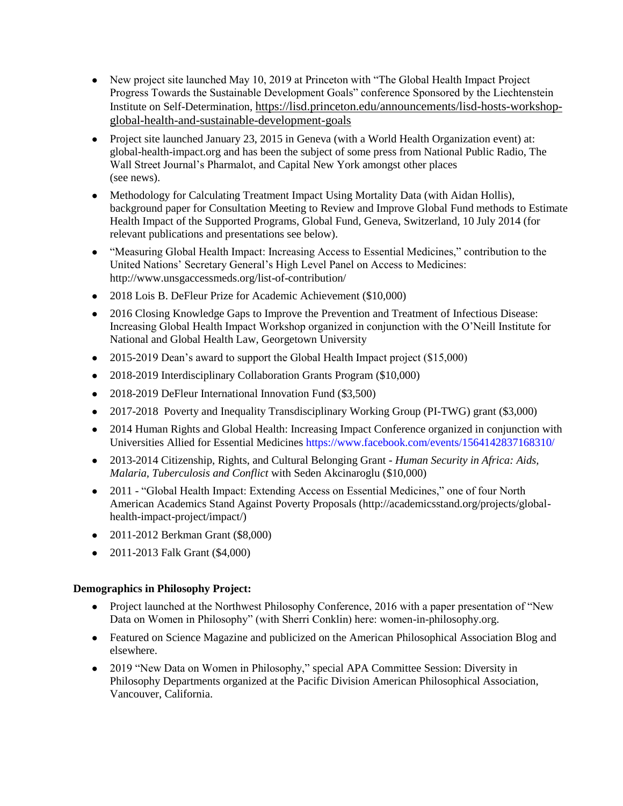- New project site launched May 10, 2019 at Princeton with "The Global Health Impact Project" Progress Towards the Sustainable Development Goals" conference Sponsored by the Liechtenstein Institute on Self-Determination, [https://lisd.princeton.edu/announcements/lisd-hosts-workshop](https://lisd.princeton.edu/announcements/lisd-hosts-workshop-global-health-and-sustainable-development-goals)[global-health-and-sustainable-development-goals](https://lisd.princeton.edu/announcements/lisd-hosts-workshop-global-health-and-sustainable-development-goals)
- Project site launched January 23, 2015 in Geneva (with a World Health Organization event) at: [global-health-impact.org](http://www.global-health-impact.org/) and has been the subject of some press from [National Public Radio,](http://www.marketplace.org/topics/health-care/new-effort-ranks-drug-makers-impact) [The](http://blogs.wsj.com/pharmalot/2015/01/23/a-new-index-measures-impact-pharma-has-on-infectious-diseases/)  [Wall Street Journal's Pharmalot, a](http://blogs.wsj.com/pharmalot/2015/01/23/a-new-index-measures-impact-pharma-has-on-infectious-diseases/)nd [Capital New York a](http://www.capitalnewyork.com/article/albany/2015/01/8560712/suny-professor-indexes-pharma-companies-impact)mongst [other places](http://global-health-impact.org/news.php) (see news).
- Methodology for Calculating Treatment Impact Using Mortality Data (with Aidan Hollis), background paper for Consultation Meeting to Review and Improve Global Fund methods to Estimate Health Impact of the Supported Programs, Global Fund, Geneva, Switzerland, 10 July 2014 (for relevant publications and presentations see below).
- "Measuring Global Health Impact: Increasing Access to Essential Medicines," contribution to the United Nations' Secretary General's High Level Panel on Access to Medicines: http://www.unsgaccessmeds.org/list-of-contribution/
- 2018 Lois B. DeFleur Prize for Academic Achievement (\$10,000)
- 2016 Closing Knowledge Gaps to Improve the Prevention and Treatment of Infectious Disease: Increasing Global Health Impact Workshop organized in conjunction with the O'Neill Institute for National and Global Health Law, Georgetown University
- 2015-2019 Dean's award to support the Global Health Impact project (\$15,000)
- 2018-2019 Interdisciplinary Collaboration Grants Program (\$10,000)
- 2018-2019 DeFleur International Innovation Fund (\$3,500)
- 2017-2018 Poverty and Inequality Transdisciplinary Working Group (PI-TWG) grant (\$3,000)
- 2014 Human Rights and Global Health: Increasing Impact Conference organized in conjunction with Universities Allied for Essential Medicines<https://www.facebook.com/events/1564142837168310/>
- 2013-2014 Citizenship, Rights, and Cultural Belonging Grant *Human Security in Africa: Aids, Malaria, Tuberculosis and Conflict* with Seden Akcinaroglu (\$10,000)
- 2011 "Global Health Impact: Extending Access on Essential Medicines," one of four North American Academics Stand Against Poverty Proposals (http://academicsstand.org/projects/globalhealth-impact-project/impact/)
- 2011-2012 Berkman Grant (\$8,000)
- 2011-2013 Falk Grant (\$4,000)

### **Demographics in Philosophy Project:**

- Project launched at the Northwest Philosophy Conference, 2016 with a paper presentation of "New Data on Women in Philosophy" (with Sherri Conklin) here: women-in-philosophy.org.
- Featured on Science Magazine and publicized on the [American Philosophical Association Blog](http://blog.apaonline.org/2016/11/15/can-data-help-us-improve-the-situation-for-women-in-philosophy/) and elsewhere.
- 2019 "New Data on Women in Philosophy," special APA Committee Session: Diversity in Philosophy Departments organized at the Pacific Division American Philosophical Association, Vancouver, California.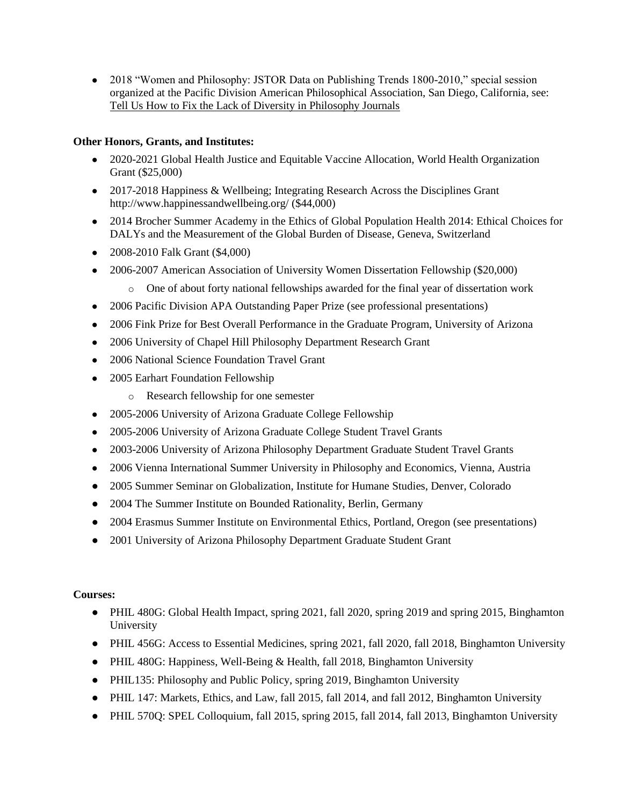• 2018 "Women and Philosophy: JSTOR Data on Publishing Trends 1800-2010," special session organized at the Pacific Division American Philosophical Association, San Diego, California, see: [Tell Us How to Fix the Lack of Diversity in Philosophy Journals](https://blog.apaonline.org/?s=hassoun)

## **Other Honors, Grants, and Institutes:**

- 2020-2021 Global Health Justice and Equitable Vaccine Allocation, World Health Organization Grant (\$25,000)
- 2017-2018 Happiness & Wellbeing; Integrating Research Across the Disciplines Grant http://www.happinessandwellbeing.org/ (\$44,000)
- 2014 Brocher Summer Academy in the Ethics of Global Population Health 2014: Ethical Choices for DALYs and the Measurement of the Global Burden of Disease, Geneva, Switzerland
- 2008-2010 Falk Grant (\$4,000)
- 2006-2007 American Association of University Women Dissertation Fellowship (\$20,000)
	- o One of about forty national fellowships awarded for the final year of dissertation work
- 2006 Pacific Division APA Outstanding Paper Prize (see professional presentations)
- 2006 Fink Prize for Best Overall Performance in the Graduate Program, University of Arizona
- 2006 University of Chapel Hill Philosophy Department Research Grant
- 2006 National Science Foundation Travel Grant
- 2005 Earhart Foundation Fellowship
	- o Research fellowship for one semester
- 2005-2006 University of Arizona Graduate College Fellowship
- 2005-2006 University of Arizona Graduate College Student Travel Grants
- 2003-2006 University of Arizona Philosophy Department Graduate Student Travel Grants
- 2006 Vienna International Summer University in Philosophy and Economics, Vienna, Austria
- 2005 Summer Seminar on Globalization, Institute for Humane Studies, Denver, Colorado
- 2004 The Summer Institute on Bounded Rationality, Berlin, Germany
- 2004 Erasmus Summer Institute on Environmental Ethics, Portland, Oregon (see presentations)
- 2001 University of Arizona Philosophy Department Graduate Student Grant

## **Courses:**

- PHIL 480G: Global Health Impact, spring 2021, fall 2020, spring 2019 and spring 2015, Binghamton University
- PHIL 456G: Access to Essential Medicines, spring 2021, fall 2020, fall 2018, Binghamton University
- PHIL 480G: Happiness, Well-Being & Health, fall 2018, Binghamton University
- PHIL135: Philosophy and Public Policy, spring 2019, Binghamton University
- PHIL 147: Markets, Ethics, and Law, fall 2015, fall 2014, and fall 2012, Binghamton University
- PHIL 570Q: SPEL Colloquium, fall 2015, spring 2015, fall 2014, fall 2013, Binghamton University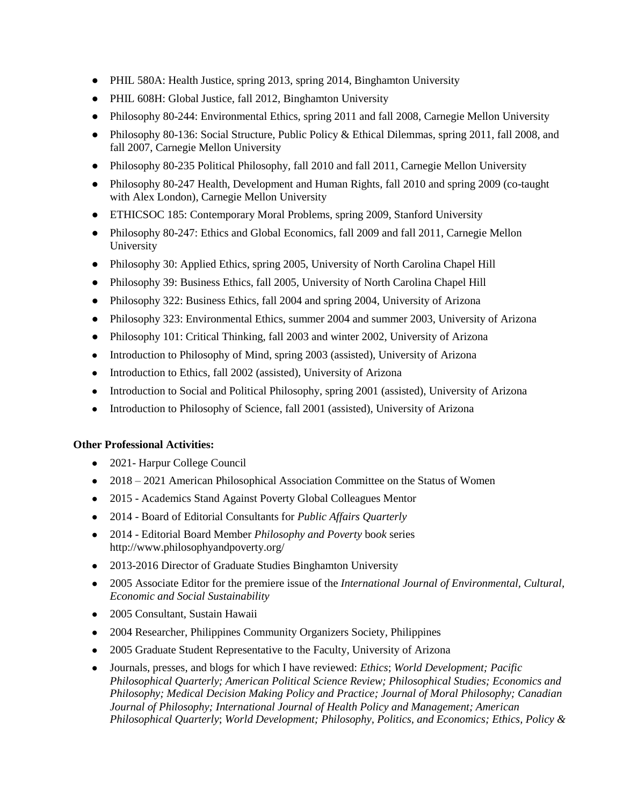- PHIL 580A: Health Justice, spring 2013, spring 2014, Binghamton University
- PHIL 608H: Global Justice, fall 2012, Binghamton University
- Philosophy 80-244: Environmental Ethics, spring 2011 and fall 2008, Carnegie Mellon University
- Philosophy 80-136: Social Structure, Public Policy & Ethical Dilemmas, spring 2011, fall 2008, and fall 2007, Carnegie Mellon University
- Philosophy 80-235 Political Philosophy, fall 2010 and fall 2011, Carnegie Mellon University
- Philosophy 80-247 Health, Development and Human Rights, fall 2010 and spring 2009 (co-taught with Alex London), Carnegie Mellon University
- ETHICSOC 185: Contemporary Moral Problems, spring 2009, Stanford University
- Philosophy 80-247: Ethics and Global Economics, fall 2009 and fall 2011, Carnegie Mellon University
- Philosophy 30: Applied Ethics, spring 2005, University of North Carolina Chapel Hill
- Philosophy 39: Business Ethics, fall 2005, University of North Carolina Chapel Hill
- Philosophy 322: Business Ethics, fall 2004 and spring 2004, University of Arizona
- Philosophy 323: Environmental Ethics, summer 2004 and summer 2003, University of Arizona
- Philosophy 101: Critical Thinking, fall 2003 and winter 2002, University of Arizona
- Introduction to Philosophy of Mind, spring 2003 (assisted), University of Arizona
- Introduction to Ethics, fall 2002 (assisted), University of Arizona
- Introduction to Social and Political Philosophy, spring 2001 (assisted), University of Arizona
- Introduction to Philosophy of Science, fall 2001 (assisted), University of Arizona

## **Other Professional Activities:**

- 2021- Harpur College Council
- 2018 2021 American Philosophical Association Committee on the Status of Women
- 2015 Academics Stand Against Poverty Global Colleagues Mentor
- 2014 Board of Editorial Consultants for *Public Affairs Quarterly*
- 2014 Editorial Board Member *Philosophy and Poverty* bo*ok* series <http://www.philosophyandpoverty.org/>
- 2013-2016 Director of Graduate Studies Binghamton University
- 2005 Associate Editor for the premiere issue of the *International Journal of Environmental, Cultural, Economic and Social Sustainability*
- 2005 Consultant, Sustain Hawaii
- 2004 Researcher, Philippines Community Organizers Society, Philippines
- 2005 Graduate Student Representative to the Faculty, University of Arizona
- Journals, presses, and blogs for which I have reviewed: *Ethics*; *World Development; Pacific Philosophical Quarterly; American Political Science Review; Philosophical Studies; Economics and Philosophy; Medical Decision Making Policy and Practice; Journal of Moral Philosophy; Canadian Journal of Philosophy; International Journal of Health Policy and Management; American Philosophical Quarterly*; *World Development; Philosophy, Politics, and Economics; Ethics, Policy &*